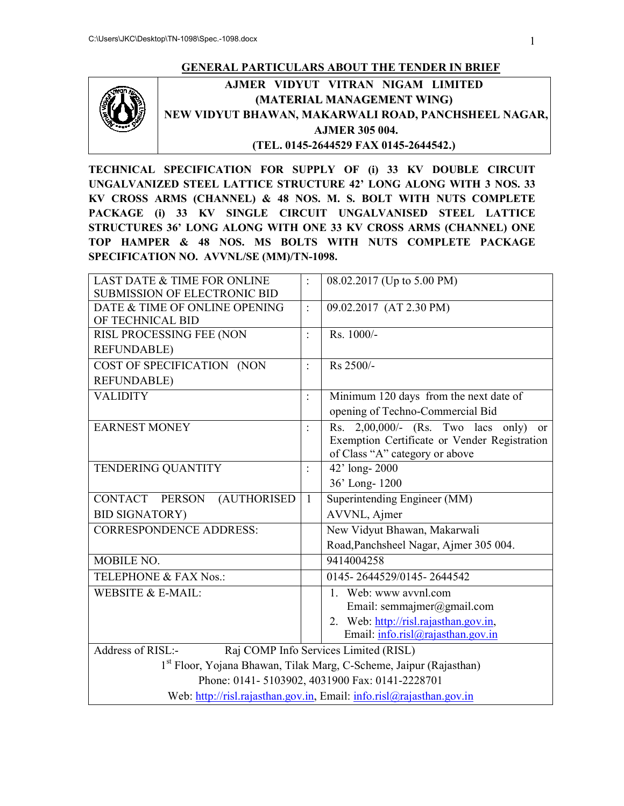#### **GENERAL PARTICULARS ABOUT THE TENDER IN BRIEF**



**AJMER VIDYUT VITRAN NIGAM LIMITED** AJMER VIDYUT VITRAN NIGAM LIMITED<br>(MATERIAL MANAGEMENT WING)<br>NEW VIDYUT BHAWAN, MAKARWALI ROAD, PANCHSHEEL NAGAR, **(MATERIAL MANAGEMENT WING) AJMER 305 004. (TEL. 0145-2644529 FAX 0145-2644542.)**

**TECHNICAL SPECIFICATION FOR SUPPLY OF (i) 33 KV DOUBLE CIRCUIT UNGALVANIZED STEEL LATTICE STRUCTURE 42' LONG ALONG WITH 3 NOS. 33 KV CROSS ARMS (CHANNEL) & 48 NOS. M. S. BOLT WITH NUTS COMPLETE PACKAGE (i) 33 KV SINGLE CIRCUIT UNGALVANISED STEEL LATTICE STRUCTURES 36' LONG ALONG WITH ONE 33 KV CROSS ARMS (CHANNEL) ONE TOP HAMPER & 48 NOS. MS BOLTS WITH NUTS COMPLETE PACKAGE SPECIFICATION NO. AVVNL/SE (MM)/TN** TECHNICAL SPECIFICATION FOR SUPPLY OF (i) 33 KV DOUBLE CIRCUIT<br>UNGALVANIZED STEEL LATTICE STRUCTURE 42' LONG ALONG WITH 3 NOS. 33<br>KV CROSS ARMS (CHANNEL) & 48 NOS. M. S. BOLT WITH NUTS COMPLETE<br>PACKAGE (i) 33 KV SINGLE CIR **ROSS ARMS (CHANNEL) & 48 NOS. M. S.<br>AGE (i) 33 KV SINGLE CIRCUIT UNC<br>CTURES 36' LONG ALONG WITH ONE 33 KV<br>HAMPER & 48 NOS. MS BOLTS WITH** 

| <b>LAST DATE &amp; TIME FOR ONLINE</b>                             |                | 08.02.2017 (Up to 5.00 PM)                                           |  |  |  |  |  |
|--------------------------------------------------------------------|----------------|----------------------------------------------------------------------|--|--|--|--|--|
| <b>SUBMISSION OF ELECTRONIC BID</b>                                |                |                                                                      |  |  |  |  |  |
| DATE & TIME OF ONLINE OPENING                                      | $\ddot{\cdot}$ | 09.02.2017 (AT 2.30 PM)                                              |  |  |  |  |  |
| OF TECHNICAL BID                                                   |                |                                                                      |  |  |  |  |  |
| RISL PROCESSING FEE (NON                                           | $\ddot{\cdot}$ | Rs. 1000/-                                                           |  |  |  |  |  |
| <b>REFUNDABLE)</b>                                                 |                |                                                                      |  |  |  |  |  |
| COST OF SPECIFICATION (NON                                         | $\ddot{\cdot}$ | Rs 2500/-                                                            |  |  |  |  |  |
| <b>REFUNDABLE)</b>                                                 |                |                                                                      |  |  |  |  |  |
| <b>VALIDITY</b>                                                    | $\ddot{\cdot}$ | Minimum 120 days from the next date of                               |  |  |  |  |  |
|                                                                    |                | opening of Techno-Commercial Bid                                     |  |  |  |  |  |
| <b>EARNEST MONEY</b>                                               | $\ddot{\cdot}$ | $2,00,000/$ - (Rs. Two lacs only)<br>Rs.<br>or                       |  |  |  |  |  |
|                                                                    |                | Exemption Certificate or Vender Registration                         |  |  |  |  |  |
|                                                                    |                | of Class "A" category or above                                       |  |  |  |  |  |
| TENDERING QUANTITY                                                 | $\ddot{\cdot}$ | 42' long- $2000$                                                     |  |  |  |  |  |
|                                                                    |                | 36' Long-1200                                                        |  |  |  |  |  |
| CONTACT PERSON<br>(AUTHORISED                                      | $\mathbf{1}$   | Superintending Engineer (MM)                                         |  |  |  |  |  |
| <b>BID SIGNATORY)</b>                                              |                | AVVNL, Ajmer                                                         |  |  |  |  |  |
| <b>CORRESPONDENCE ADDRESS:</b>                                     |                | New Vidyut Bhawan, Makarwali                                         |  |  |  |  |  |
|                                                                    |                | Road, Panchsheel Nagar, Ajmer 305 004.                               |  |  |  |  |  |
| MOBILE NO.                                                         |                | 9414004258                                                           |  |  |  |  |  |
| TELEPHONE & FAX Nos.:                                              |                | 0145-2644529/0145-2644542                                            |  |  |  |  |  |
| WEBSITE & E-MAIL:                                                  |                | 1. Web: www avvnl.com                                                |  |  |  |  |  |
|                                                                    |                | Email: semmajmer@gmail.com                                           |  |  |  |  |  |
|                                                                    |                | 2. Web: http://risl.rajasthan.gov.in,                                |  |  |  |  |  |
|                                                                    |                | Email: info.risl@rajasthan.gov.in                                    |  |  |  |  |  |
| Address of RISL:-                                                  |                | Raj COMP Info Services Limited (RISL)                                |  |  |  |  |  |
| 1st Floor, Yojana Bhawan, Tilak Marg, C-Scheme, Jaipur (Rajasthan) |                |                                                                      |  |  |  |  |  |
|                                                                    |                | Phone: 0141-5103902, 4031900 Fax: 0141-2228701                       |  |  |  |  |  |
|                                                                    |                | Web: http://risl.rajasthan.gov.in, Email: info.risl@rajasthan.gov.in |  |  |  |  |  |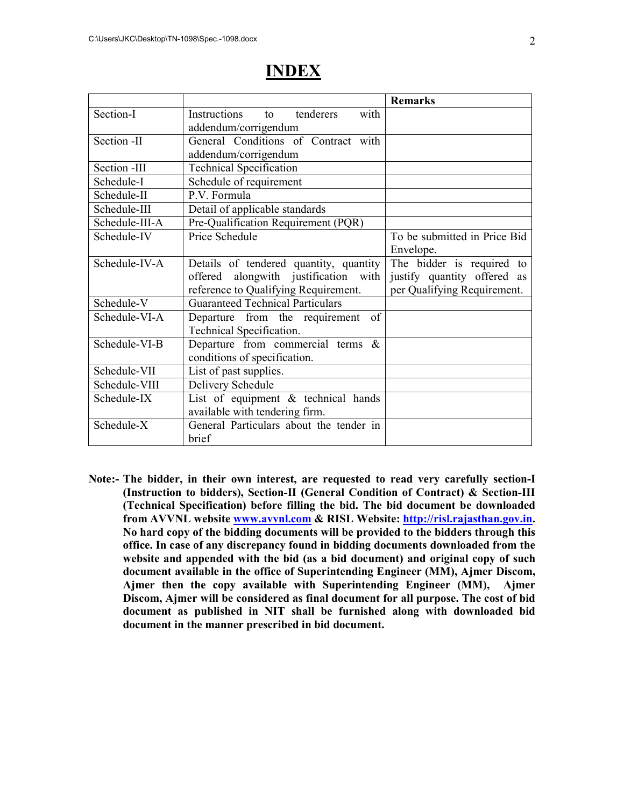|                |                                         | <b>Remarks</b>               |
|----------------|-----------------------------------------|------------------------------|
| Section-I      | Instructions<br>tenderers<br>with<br>to |                              |
|                | addendum/corrigendum                    |                              |
| Section -II    | General Conditions of Contract with     |                              |
|                | addendum/corrigendum                    |                              |
| Section -III   | <b>Technical Specification</b>          |                              |
| Schedule-I     | Schedule of requirement                 |                              |
| Schedule-II    | P.V. Formula                            |                              |
| Schedule-III   | Detail of applicable standards          |                              |
| Schedule-III-A | Pre-Qualification Requirement (PQR)     |                              |
| Schedule-IV    | Price Schedule                          | To be submitted in Price Bid |
|                |                                         | Envelope.                    |
| Schedule-IV-A  | Details of tendered quantity, quantity  | The bidder is required to    |
|                | offered alongwith justification with    | justify quantity offered as  |
|                | reference to Qualifying Requirement.    | per Qualifying Requirement.  |
| Schedule-V     | <b>Guaranteed Technical Particulars</b> |                              |
| Schedule-VI-A  | Departure from the requirement of       |                              |
|                | Technical Specification.                |                              |
| Schedule-VI-B  | Departure from commercial terms $\&$    |                              |
|                | conditions of specification.            |                              |
| Schedule-VII   | List of past supplies.                  |                              |
| Schedule-VIII  | Delivery Schedule                       |                              |
| Schedule-IX    | List of equipment $\&$ technical hands  |                              |
|                | available with tendering firm.          |                              |
| Schedule-X     | General Particulars about the tender in |                              |
|                | brief                                   |                              |

# **INDEX**

**Note:- The bidder, in their own interest, are requested to read very carefully section-I (Instruction to bidders), Section-II (General Condition of Contract) & Section-III (Technical Specification) before filling the bid. The bid document be downloaded from AVVNL website www.avvnl.com & RISL Website: http://risl.rajasthan.gov.in. No hard copy of the bidding documents will be provided to the bidders through this office. In case of any discrepancy found in bidding documents downloaded from the website and appended with the bid (as a bid document) and original copy of such document available in the office of Superintending Engineer (MM), Ajmer Discom, Ajmer then the copy available with Superintending Engineer (MM), Ajmer Discom, Ajmer will be considered as final document for all purpose. The cost of bid document as published in NIT shall be furnished along with downloaded bid document in the manner prescribed in bid document.**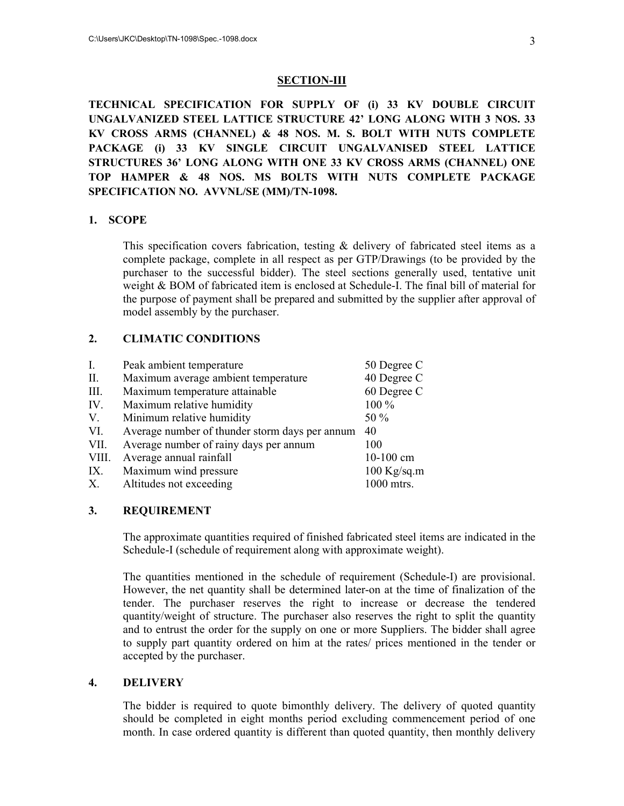#### **SECTION-III**

**TECHNICAL SPECIFICATION FOR SUPPLY OF (i) 33 KV DOUBLE CIRCUIT UNGALVANIZED STEEL LATTICE STRUCTURE 42' LONG ALONG WITH 3 NOS. 33 KV CROSS ARMS (CHANNEL) & 48 NOS. M. S. BOLT WITH NUTS COMPLETE PACKAGE (i) 33 KV SINGLE CIRCUIT UNGALVANISED STEEL LATTICE STRUCTURES 36' LONG ALONG WITH ONE 33 KV CROSS ARMS (CHANNEL) ONE TOP HAMPER & 48 NOS. MS BOLTS WITH NUTS COMPLETE PACKAGE SPECIFICATION NO. AVVNL/SE (MM)/TN-1098.** 

#### **1. SCOPE**

This specification covers fabrication, testing & delivery of fabricated steel items as a complete package, complete in all respect as per GTP/Drawings (to be provided by the purchaser to the successful bidder). The steel sections generally used, tentative unit weight & BOM of fabricated item is enclosed at Schedule-I. The final bill of material for the purpose of payment shall be prepared and submitted by the supplier after approval of model assembly by the purchaser.

#### **2. CLIMATIC CONDITIONS**

| $I_{\cdot}$ | Peak ambient temperature                       | 50 Degree C   |
|-------------|------------------------------------------------|---------------|
| II.         | Maximum average ambient temperature            | 40 Degree C   |
| III.        | Maximum temperature attainable                 | 60 Degree C   |
| IV.         | Maximum relative humidity                      | 100 %         |
| V.          | Minimum relative humidity                      | 50 %          |
| VI.         | Average number of thunder storm days per annum | 40            |
| VII.        | Average number of rainy days per annum         | 100           |
| VIII.       | Average annual rainfall                        | 10-100 cm     |
| IX.         | Maximum wind pressure                          | $100$ Kg/sq.m |
| X.          | Altitudes not exceeding                        | 1000 mtrs.    |

#### **3. REQUIREMENT**

The approximate quantities required of finished fabricated steel items are indicated in the Schedule-I (schedule of requirement along with approximate weight).

The quantities mentioned in the schedule of requirement (Schedule-I) are provisional. However, the net quantity shall be determined later-on at the time of finalization of the tender. The purchaser reserves the right to increase or decrease the tendered quantity/weight of structure. The purchaser also reserves the right to split the quantity and to entrust the order for the supply on one or more Suppliers. The bidder shall agree to supply part quantity ordered on him at the rates/ prices mentioned in the tender or accepted by the purchaser.

#### **4. DELIVERY**

The bidder is required to quote bimonthly delivery. The delivery of quoted quantity should be completed in eight months period excluding commencement period of one month. In case ordered quantity is different than quoted quantity, then monthly delivery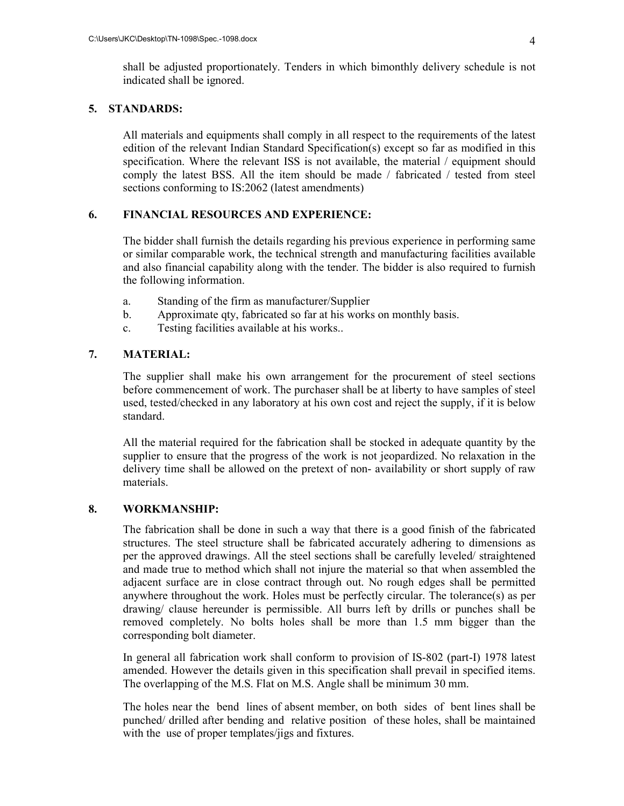shall be adjusted proportionately. Tenders in which bimonthly delivery schedule is not indicated shall be ignored.

#### **5. STANDARDS:**

All materials and equipments shall comply in all respect to the requirements of the latest edition of the relevant Indian Standard Specification(s) except so far as modified in this specification. Where the relevant ISS is not available, the material / equipment should comply the latest BSS. All the item should be made / fabricated / tested from steel sections conforming to IS:2062 (latest amendments)

#### **6. FINANCIAL RESOURCES AND EXPERIENCE:**

The bidder shall furnish the details regarding his previous experience in performing same or similar comparable work, the technical strength and manufacturing facilities available and also financial capability along with the tender. The bidder is also required to furnish the following information.

- a. Standing of the firm as manufacturer/Supplier
- b. Approximate qty, fabricated so far at his works on monthly basis.
- c. Testing facilities available at his works..

#### **7. MATERIAL:**

 The supplier shall make his own arrangement for the procurement of steel sections before commencement of work. The purchaser shall be at liberty to have samples of steel used, tested/checked in any laboratory at his own cost and reject the supply, if it is below standard.

 All the material required for the fabrication shall be stocked in adequate quantity by the supplier to ensure that the progress of the work is not jeopardized. No relaxation in the delivery time shall be allowed on the pretext of non- availability or short supply of raw materials.

#### **8. WORKMANSHIP:**

The fabrication shall be done in such a way that there is a good finish of the fabricated structures. The steel structure shall be fabricated accurately adhering to dimensions as per the approved drawings. All the steel sections shall be carefully leveled/ straightened and made true to method which shall not injure the material so that when assembled the adjacent surface are in close contract through out. No rough edges shall be permitted anywhere throughout the work. Holes must be perfectly circular. The tolerance(s) as per drawing/ clause hereunder is permissible. All burrs left by drills or punches shall be removed completely. No bolts holes shall be more than 1.5 mm bigger than the corresponding bolt diameter.

In general all fabrication work shall conform to provision of IS-802 (part-I) 1978 latest amended. However the details given in this specification shall prevail in specified items. The overlapping of the M.S. Flat on M.S. Angle shall be minimum 30 mm.

The holes near the bend lines of absent member, on both sides of bent lines shall be punched/ drilled after bending and relative position of these holes, shall be maintained with the use of proper templates/jigs and fixtures.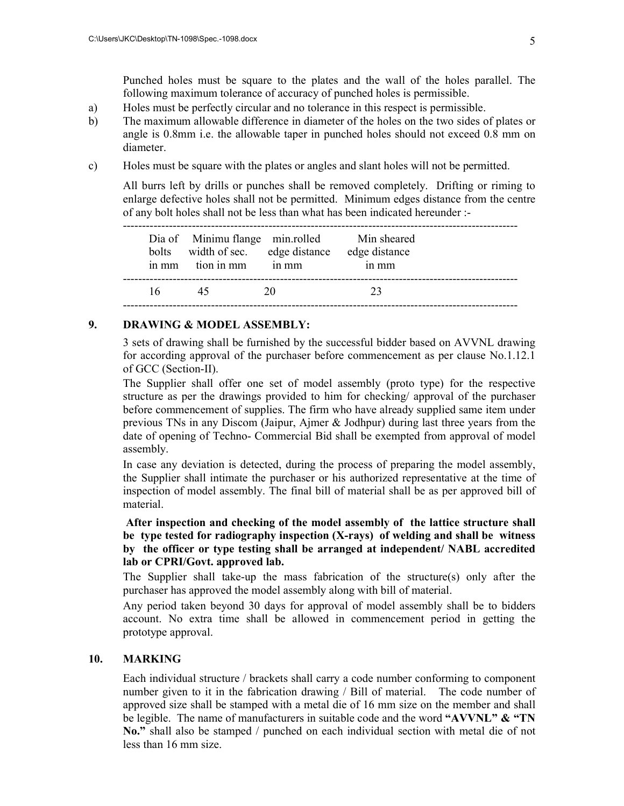Punched holes must be square to the plates and the wall of the holes parallel. The following maximum tolerance of accuracy of punched holes is permissible.

- a) Holes must be perfectly circular and no tolerance in this respect is permissible.
- b) The maximum allowable difference in diameter of the holes on the two sides of plates or angle is 0.8mm i.e. the allowable taper in punched holes should not exceed 0.8 mm on diameter.
- c) Holes must be square with the plates or angles and slant holes will not be permitted.

All burrs left by drills or punches shall be removed completely. Drifting or riming to enlarge defective holes shall not be permitted. Minimum edges distance from the centre of any bolt holes shall not be less than what has been indicated hereunder :-

------------------------------------------------------------------------------------------------------- Dia of Minimu flange min.rolled Min sheared bolts width of sec. edge distance edge distance in mm tion in mm in mm in mm 16 45 20 23 -------------------------------------------------------------------------------------------------------

#### **9. DRAWING & MODEL ASSEMBLY:**

3 sets of drawing shall be furnished by the successful bidder based on AVVNL drawing for according approval of the purchaser before commencement as per clause No.1.12.1 of GCC (Section-II).

The Supplier shall offer one set of model assembly (proto type) for the respective structure as per the drawings provided to him for checking/ approval of the purchaser before commencement of supplies. The firm who have already supplied same item under previous TNs in any Discom (Jaipur, Ajmer & Jodhpur) during last three years from the date of opening of Techno- Commercial Bid shall be exempted from approval of model assembly.

In case any deviation is detected, during the process of preparing the model assembly, the Supplier shall intimate the purchaser or his authorized representative at the time of inspection of model assembly. The final bill of material shall be as per approved bill of material.

#### **After inspection and checking of the model assembly of the lattice structure shall be type tested for radiography inspection (X-rays) of welding and shall be witness by the officer or type testing shall be arranged at independent/ NABL accredited lab or CPRI/Govt. approved lab.**

The Supplier shall take-up the mass fabrication of the structure(s) only after the purchaser has approved the model assembly along with bill of material.

Any period taken beyond 30 days for approval of model assembly shall be to bidders account. No extra time shall be allowed in commencement period in getting the prototype approval.

#### **10. MARKING**

Each individual structure / brackets shall carry a code number conforming to component number given to it in the fabrication drawing / Bill of material. The code number of approved size shall be stamped with a metal die of 16 mm size on the member and shall be legible. The name of manufacturers in suitable code and the word **"AVVNL" & "TN No."** shall also be stamped / punched on each individual section with metal die of not less than 16 mm size.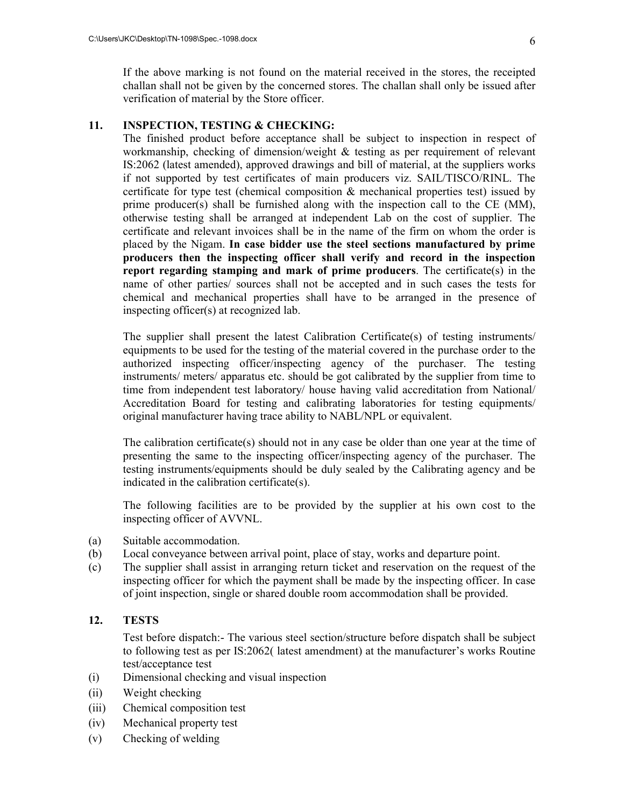If the above marking is not found on the material received in the stores, the receipted challan shall not be given by the concerned stores. The challan shall only be issued after verification of material by the Store officer.

#### **11. INSPECTION, TESTING & CHECKING:**

The finished product before acceptance shall be subject to inspection in respect of workmanship, checking of dimension/weight & testing as per requirement of relevant IS:2062 (latest amended), approved drawings and bill of material, at the suppliers works if not supported by test certificates of main producers viz. SAIL/TISCO/RINL. The certificate for type test (chemical composition & mechanical properties test) issued by prime producer(s) shall be furnished along with the inspection call to the CE (MM), otherwise testing shall be arranged at independent Lab on the cost of supplier. The certificate and relevant invoices shall be in the name of the firm on whom the order is placed by the Nigam. **In case bidder use the steel sections manufactured by prime producers then the inspecting officer shall verify and record in the inspection report regarding stamping and mark of prime producers**. The certificate(s) in the name of other parties/ sources shall not be accepted and in such cases the tests for chemical and mechanical properties shall have to be arranged in the presence of inspecting officer(s) at recognized lab.

The supplier shall present the latest Calibration Certificate(s) of testing instruments/ equipments to be used for the testing of the material covered in the purchase order to the authorized inspecting officer/inspecting agency of the purchaser. The testing instruments/ meters/ apparatus etc. should be got calibrated by the supplier from time to time from independent test laboratory/ house having valid accreditation from National/ Accreditation Board for testing and calibrating laboratories for testing equipments/ original manufacturer having trace ability to NABL/NPL or equivalent.

The calibration certificate(s) should not in any case be older than one year at the time of presenting the same to the inspecting officer/inspecting agency of the purchaser. The testing instruments/equipments should be duly sealed by the Calibrating agency and be indicated in the calibration certificate(s).

The following facilities are to be provided by the supplier at his own cost to the inspecting officer of AVVNL.

- (a) Suitable accommodation.
- (b) Local conveyance between arrival point, place of stay, works and departure point.
- (c) The supplier shall assist in arranging return ticket and reservation on the request of the inspecting officer for which the payment shall be made by the inspecting officer. In case of joint inspection, single or shared double room accommodation shall be provided.

#### **12. TESTS**

Test before dispatch:- The various steel section/structure before dispatch shall be subject to following test as per IS:2062( latest amendment) at the manufacturer's works Routine test/acceptance test

- (i) Dimensional checking and visual inspection
- (ii) Weight checking
- (iii) Chemical composition test
- (iv) Mechanical property test
- (v) Checking of welding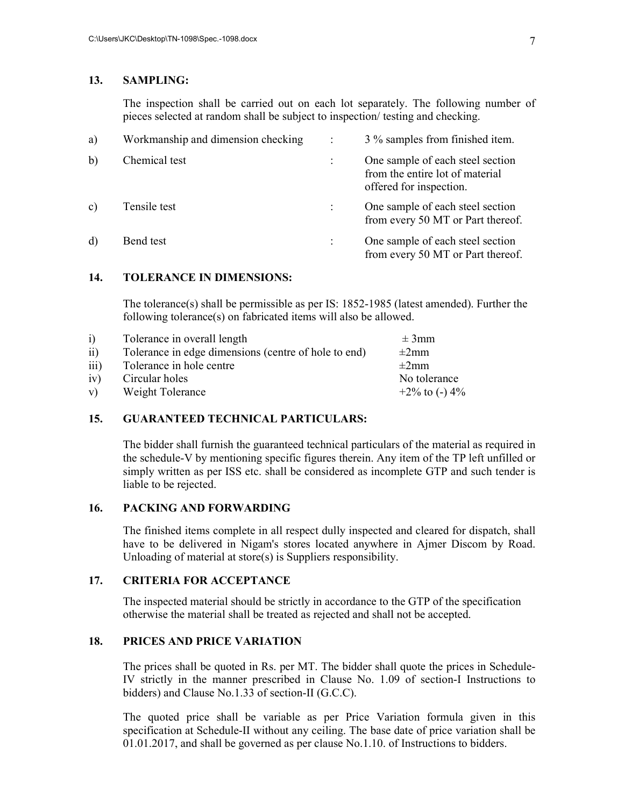#### **13. SAMPLING:**

The inspection shall be carried out on each lot separately. The following number of pieces selected at random shall be subject to inspection/ testing and checking.

| a)           | Workmanship and dimension checking | 3 % samples from finished item.                                                                |
|--------------|------------------------------------|------------------------------------------------------------------------------------------------|
| b)           | Chemical test                      | One sample of each steel section<br>from the entire lot of material<br>offered for inspection. |
| $\mathbf{c}$ | Tensile test                       | One sample of each steel section<br>from every 50 MT or Part thereof.                          |
| d)           | Bend test                          | One sample of each steel section<br>from every 50 MT or Part thereof.                          |

#### **14. TOLERANCE IN DIMENSIONS:**

The tolerance(s) shall be permissible as per IS: 1852-1985 (latest amended). Further the following tolerance(s) on fabricated items will also be allowed.

| $\overline{1}$   | Tolerance in overall length                          | $\pm 3$ mm        |
|------------------|------------------------------------------------------|-------------------|
| $\overline{11}$  | Tolerance in edge dimensions (centre of hole to end) | $\pm 2$ mm        |
| $\overline{111}$ | Tolerance in hole centre                             | $\pm 2$ mm        |
| iv)              | Circular holes                                       | No tolerance      |
| V)               | Weight Tolerance                                     | $+2\%$ to (-) 4\% |

#### **15. GUARANTEED TECHNICAL PARTICULARS:**

The bidder shall furnish the guaranteed technical particulars of the material as required in the schedule-V by mentioning specific figures therein. Any item of the TP left unfilled or simply written as per ISS etc. shall be considered as incomplete GTP and such tender is liable to be rejected.

#### **16. PACKING AND FORWARDING**

The finished items complete in all respect dully inspected and cleared for dispatch, shall have to be delivered in Nigam's stores located anywhere in Ajmer Discom by Road. Unloading of material at store(s) is Suppliers responsibility.

#### **17. CRITERIA FOR ACCEPTANCE**

The inspected material should be strictly in accordance to the GTP of the specification otherwise the material shall be treated as rejected and shall not be accepted.

#### **18. PRICES AND PRICE VARIATION**

The prices shall be quoted in Rs. per MT. The bidder shall quote the prices in Schedule-IV strictly in the manner prescribed in Clause No. 1.09 of section-I Instructions to bidders) and Clause No.1.33 of section-II (G.C.C).

The quoted price shall be variable as per Price Variation formula given in this specification at Schedule-II without any ceiling. The base date of price variation shall be 01.01.2017, and shall be governed as per clause No.1.10. of Instructions to bidders.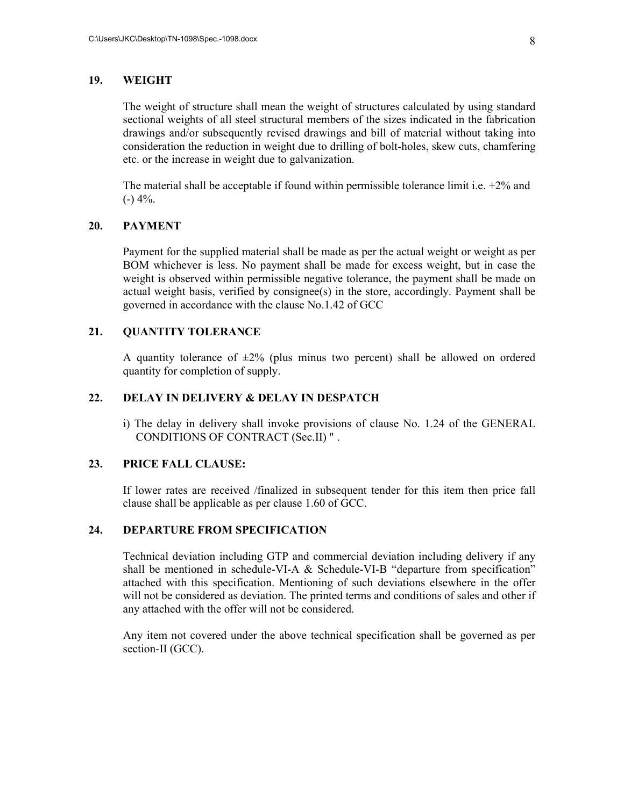#### **19. WEIGHT**

The weight of structure shall mean the weight of structures calculated by using standard sectional weights of all steel structural members of the sizes indicated in the fabrication drawings and/or subsequently revised drawings and bill of material without taking into consideration the reduction in weight due to drilling of bolt-holes, skew cuts, chamfering etc. or the increase in weight due to galvanization.

The material shall be acceptable if found within permissible tolerance limit i.e.  $+2\%$  and  $(-)$  4%.

#### **20. PAYMENT**

Payment for the supplied material shall be made as per the actual weight or weight as per BOM whichever is less. No payment shall be made for excess weight, but in case the weight is observed within permissible negative tolerance, the payment shall be made on actual weight basis, verified by consignee(s) in the store, accordingly. Payment shall be governed in accordance with the clause No.1.42 of GCC

#### **21. QUANTITY TOLERANCE**

A quantity tolerance of  $\pm 2\%$  (plus minus two percent) shall be allowed on ordered quantity for completion of supply.

### **22. DELAY IN DELIVERY & DELAY IN DESPATCH**

i) The delay in delivery shall invoke provisions of clause No. 1.24 of the GENERAL CONDITIONS OF CONTRACT (Sec.II) " .

#### **23. PRICE FALL CLAUSE:**

If lower rates are received /finalized in subsequent tender for this item then price fall clause shall be applicable as per clause 1.60 of GCC.

#### **24. DEPARTURE FROM SPECIFICATION**

Technical deviation including GTP and commercial deviation including delivery if any shall be mentioned in schedule-VI-A & Schedule-VI-B "departure from specification" attached with this specification. Mentioning of such deviations elsewhere in the offer will not be considered as deviation. The printed terms and conditions of sales and other if any attached with the offer will not be considered.

Any item not covered under the above technical specification shall be governed as per section-II (GCC).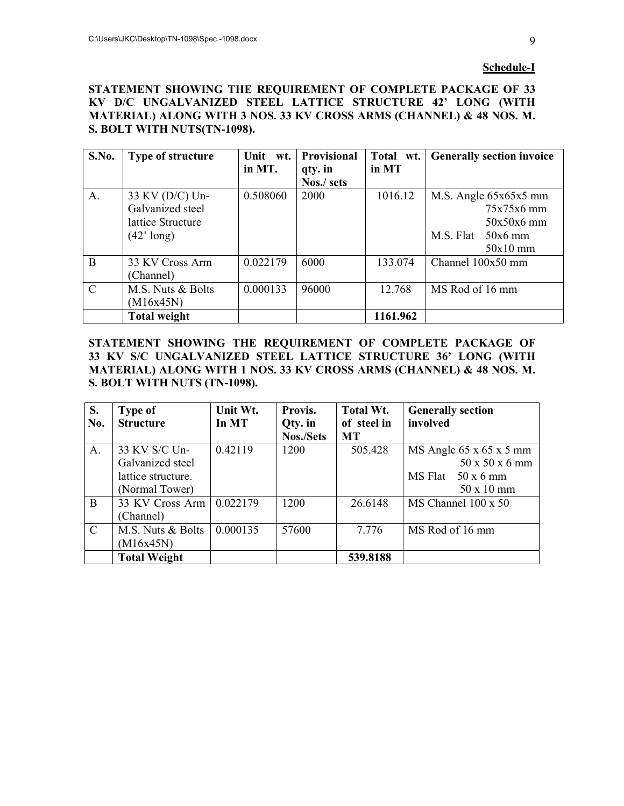#### **Schedule-I**

**STATEMENT SHOWING THE REQUIREMENT OF COMPLETE PACKAGE OF 33 KV D/C UNGALVANIZED STEEL LATTICE STRUCTURE 42' LONG (WITH MATERIAL) ALONG WITH 3 NOS. 33 KV CROSS ARMS (CHANNEL) & 48 NOS. M. S. BOLT WITH NUTS(TN-1098).** 

| S.No.         | <b>Type of structure</b> | Unit wt. | Provisional | Total wt. | <b>Generally section invoice</b> |
|---------------|--------------------------|----------|-------------|-----------|----------------------------------|
|               |                          | in MT.   | qty. in     | in MT     |                                  |
|               |                          |          | Nos./ sets  |           |                                  |
| A.            | 33 KV (D/C) Un-          | 0.508060 | 2000        | 1016.12   | M.S. Angle 65x65x5 mm            |
|               | Galvanized steel         |          |             |           | 75x75x6 mm                       |
|               | lattice Structure        |          |             |           | $50x50x6$ mm                     |
|               | $(42' \text{ long})$     |          |             |           | M.S. Flat<br>$50x6$ mm           |
|               |                          |          |             |           | $50x10$ mm                       |
| B             | 33 KV Cross Arm          | 0.022179 | 6000        | 133.074   | Channel 100x50 mm                |
|               | (Channel)                |          |             |           |                                  |
| $\mathcal{C}$ | M.S. Nuts & Bolts        | 0.000133 | 96000       | 12.768    | MS Rod of 16 mm                  |
|               | (M16x45N)                |          |             |           |                                  |
|               | <b>Total weight</b>      |          |             | 1161.962  |                                  |

**STATEMENT SHOWING THE REQUIREMENT OF COMPLETE PACKAGE OF 33 KV S/C UNGALVANIZED STEEL LATTICE STRUCTURE 36' LONG (WITH MATERIAL) ALONG WITH 1 NOS. 33 KV CROSS ARMS (CHANNEL) & 48 NOS. M. S. BOLT WITH NUTS (TN-1098).** 

| S.            | <b>Type of</b>      | Unit Wt. | Provis.   | Total Wt.   | <b>Generally section</b> |
|---------------|---------------------|----------|-----------|-------------|--------------------------|
| No.           | <b>Structure</b>    | In MT    | Qty. in   | of steel in | involved                 |
|               |                     |          | Nos./Sets | <b>MT</b>   |                          |
| A.            | 33 KV S/C Un-       | 0.42119  | 1200      | 505.428     | MS Angle 65 x 65 x 5 mm  |
|               | Galvanized steel    |          |           |             | 50 x 50 x 6 mm           |
|               | lattice structure.  |          |           |             | $MS$ Flat 50 x 6 mm      |
|               | (Normal Tower)      |          |           |             | $50 \times 10$ mm        |
| B             | 33 KV Cross Arm     | 0.022179 | 1200      | 26.6148     | $MS$ Channel 100 x 50    |
|               | (Channel)           |          |           |             |                          |
| $\mathcal{C}$ | M.S. Nuts & Bolts   | 0.000135 | 57600     | 7.776       | MS Rod of 16 mm          |
|               | (M16x45N)           |          |           |             |                          |
|               | <b>Total Weight</b> |          |           | 539.8188    |                          |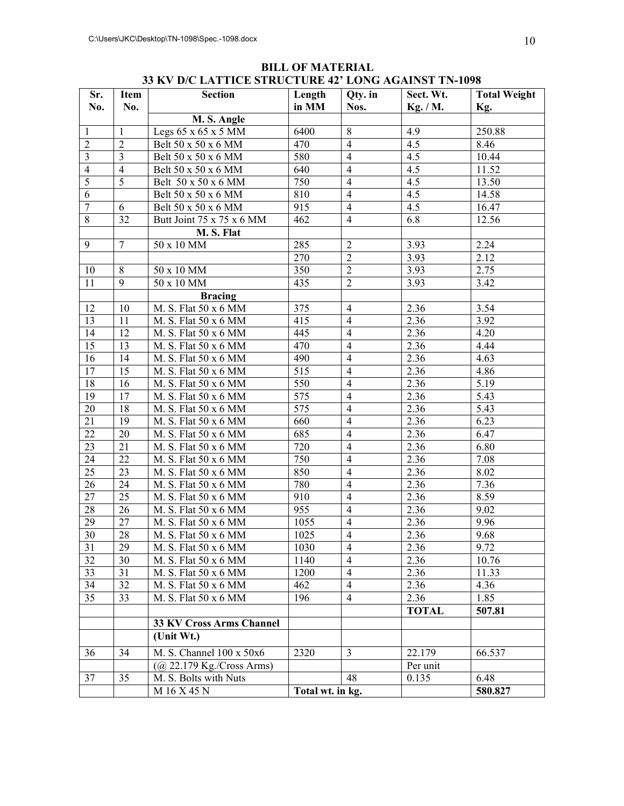| Sr.             | <b>Item</b>             | <b>Section</b>                  | Length           | Qty. in        | Sect. Wt.    | <b>Total Weight</b> |
|-----------------|-------------------------|---------------------------------|------------------|----------------|--------------|---------------------|
| No.             | No.                     |                                 | in MM            | Nos.           | Kg. / M.     | Kg.                 |
|                 |                         | M. S. Angle                     |                  |                |              |                     |
| $\mathbf{1}$    | $\mathbf{1}$            | Legs $65 \times 65 \times 5$ MM | 6400             | $\overline{8}$ | 4.9          | 250.88              |
| $\sqrt{2}$      | $\sqrt{2}$              | Belt 50 x 50 x 6 MM             | 470              | $\overline{4}$ | 4.5          | 8.46                |
| $\overline{3}$  | $\overline{\mathbf{3}}$ | Belt 50 x 50 x 6 MM             | 580              | $\overline{4}$ | 4.5          | 10.44               |
| $\overline{4}$  | $\overline{4}$          | Belt 50 x 50 x 6 MM             | 640              | $\overline{4}$ | 4.5          | 11.52               |
| 5               | $\overline{5}$          | Belt 50 x 50 x 6 MM             | 750              | $\overline{4}$ | 4.5          | 13.50               |
| 6               |                         | Belt 50 x 50 x 6 MM             | 810              | $\overline{4}$ | 4.5          | 14.58               |
| $\overline{7}$  | 6                       | Belt 50 x 50 x 6 MM             | 915              | $\overline{4}$ | 4.5          | 16.47               |
| $\,8\,$         | 32                      | Butt Joint 75 x 75 x 6 MM       | 462              | $\overline{4}$ | 6.8          | 12.56               |
|                 |                         | M.S. Flat                       |                  |                |              |                     |
| 9               | $\overline{7}$          | 50 x 10 MM                      | 285              | $\overline{2}$ | 3.93         | 2.24                |
|                 |                         |                                 | 270              | $\overline{2}$ | 3.93         | 2.12                |
| 10              | $\,8\,$                 | 50 x 10 MM                      | 350              | $\overline{2}$ | 3.93         | 2.75                |
| 11              | $\overline{9}$          | 50 x 10 MM                      | 435              | $\overline{2}$ | 3.93         | 3.42                |
|                 |                         | <b>Bracing</b>                  |                  |                |              |                     |
| 12              | 10                      | M. S. Flat 50 x 6 MM            | 375              | $\overline{4}$ | 2.36         | 3.54                |
| 13              | $\overline{11}$         | M. S. Flat 50 x 6 MM            | 415              | $\overline{4}$ | 2.36         | 3.92                |
| 14              | 12                      | M. S. Flat 50 x 6 MM            | 445              | $\overline{4}$ | 2.36         | 4.20                |
| 15              | 13                      | M. S. Flat 50 x 6 MM            | 470              | $\overline{4}$ | 2.36         | 4.44                |
| 16              | 14                      | M. S. Flat 50 x 6 MM            | 490              | $\overline{4}$ | 2.36         | 4.63                |
| 17              | 15                      | M. S. Flat 50 x 6 MM            | 515              | $\overline{4}$ | 2.36         | 4.86                |
| 18              | 16                      | M. S. Flat 50 x 6 MM            | 550              | $\overline{4}$ | 2.36         | 5.19                |
| 19              | 17                      | M. S. Flat 50 x 6 MM            | 575              | $\overline{4}$ | 2.36         | 5.43                |
| 20              | 18                      | M. S. Flat 50 x 6 MM            | 575              | $\overline{4}$ | 2.36         | 5.43                |
| 21              | 19                      | M. S. Flat 50 x 6 MM            | 660              | $\overline{4}$ | 2.36         | 6.23                |
| 22              | 20                      | M. S. Flat 50 x 6 MM            | 685              | $\overline{4}$ | 2.36         | 6.47                |
| $\overline{23}$ | 21                      | M. S. Flat 50 x 6 MM            | 720              | $\overline{4}$ | 2.36         | 6.80                |
| 24              | 22                      | M. S. Flat 50 x 6 MM            | 750              | $\overline{4}$ | 2.36         | 7.08                |
| $\overline{25}$ | 23                      | M. S. Flat 50 x 6 MM            | 850              | $\overline{4}$ | 2.36         | 8.02                |
| 26              | 24                      | M. S. Flat 50 x 6 MM            | 780              | $\overline{4}$ | 2.36         | 7.36                |
| 27              | 25                      | M. S. Flat 50 x 6 MM            | 910              | $\overline{4}$ | 2.36         | 8.59                |
| $\overline{28}$ | 26                      | M. S. Flat 50 x 6 MM            | 955              | $\overline{4}$ | 2.36         | 9.02                |
| $\overline{29}$ | 27                      | M. S. Flat 50 x 6 MM            | 1055             | $\overline{4}$ | 2.36         | 9.96                |
| $\overline{30}$ | 28                      | M. S. Flat 50 x 6 MM            | 1025             | $\overline{4}$ | 2.36         | 9.68                |
| $\overline{31}$ | 29                      | M. S. Flat 50 x 6 MM            | 1030             | 4              | 2.36         | 9.72                |
| $\overline{32}$ | 30                      | M. S. Flat 50 x 6 MM            | 1140             | $\overline{4}$ | 2.36         | 10.76               |
| 33              | 31                      | M. S. Flat 50 x 6 MM            | 1200             | $\overline{4}$ | 2.36         | 11.33               |
| 34              | 32                      | M. S. Flat 50 x 6 MM            | 462              | $\overline{4}$ | 2.36         | 4.36                |
| 35              | 33                      | M. S. Flat 50 x 6 MM            | 196              | $\overline{4}$ | 2.36         | 1.85                |
|                 |                         |                                 |                  |                | <b>TOTAL</b> | 507.81              |
|                 |                         | 33 KV Cross Arms Channel        |                  |                |              |                     |
|                 |                         | (Unit Wt.)                      |                  |                |              |                     |
| 36              | 34                      | M. S. Channel 100 x 50x6        | 2320             | $\overline{3}$ | 22.179       | 66.537              |
|                 |                         | $(Q$ 22.179 Kg./Cross Arms)     |                  |                | Per unit     |                     |
| 37              | 35                      | M. S. Bolts with Nuts           |                  | 48             | 0.135        | 6.48                |
|                 |                         | M 16 X 45 N                     | Total wt. in kg. |                |              | 580.827             |

### **BILL OF MATERIAL 33 KV D/C LATTICE STRUCTURE 42' LONG AGAINST TN-1098**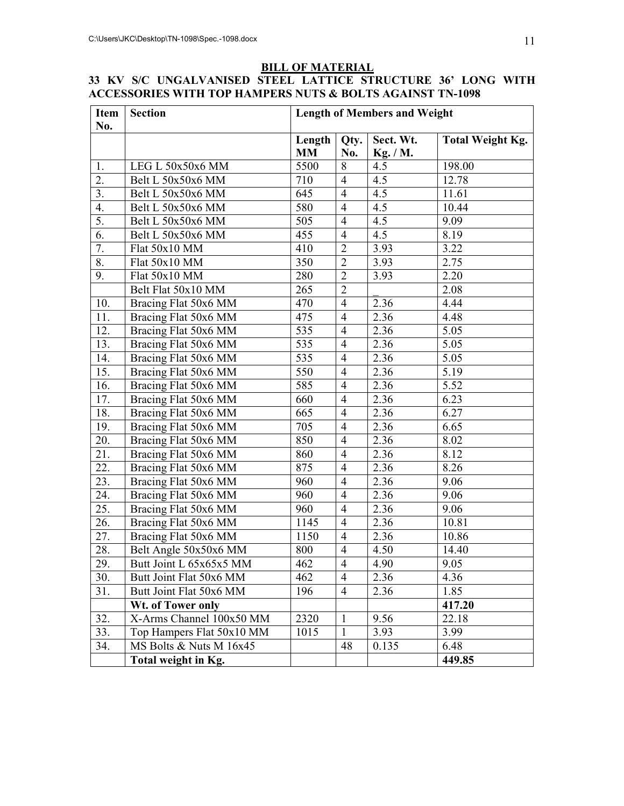## **BILL OF MATERIAL**

## **33 KV S/C UNGALVANISED STEEL LATTICE STRUCTURE 36' LONG WITH ACCESSORIES WITH TOP HAMPERS NUTS & BOLTS AGAINST TN-1098**

| Item<br>No. | <b>Section</b>            | <b>Length of Members and Weight</b> |                |                       |                         |  |  |
|-------------|---------------------------|-------------------------------------|----------------|-----------------------|-------------------------|--|--|
|             |                           | Length<br><b>MM</b>                 | Qty.<br>No.    | Sect. Wt.<br>Kg. / M. | <b>Total Weight Kg.</b> |  |  |
| 1.          | LEG L 50x50x6 MM          | 5500                                | 8              | 4.5                   | 198.00                  |  |  |
| 2.          | Belt L 50x50x6 MM         | 710                                 | $\overline{4}$ | 4.5                   | 12.78                   |  |  |
| 3.          | Belt L 50x50x6 MM         | 645                                 | $\overline{4}$ | 4.5                   | 11.61                   |  |  |
| 4.          | Belt L 50x50x6 MM         | 580                                 | $\overline{4}$ | 4.5                   | 10.44                   |  |  |
| 5.          | Belt L 50x50x6 MM         | 505                                 | $\overline{4}$ | 4.5                   | 9.09                    |  |  |
| 6.          | Belt L 50x50x6 MM         | 455                                 | $\overline{4}$ | 4.5                   | 8.19                    |  |  |
| 7.          | Flat 50x10 MM             | 410                                 | $\overline{2}$ | 3.93                  | 3.22                    |  |  |
| 8.          | Flat 50x10 MM             | 350                                 | $\overline{2}$ | 3.93                  | 2.75                    |  |  |
| 9.          | Flat 50x10 MM             | 280                                 | $\overline{2}$ | 3.93                  | 2.20                    |  |  |
|             | Belt Flat 50x10 MM        | 265                                 | $\overline{2}$ |                       | 2.08                    |  |  |
| 10.         | Bracing Flat 50x6 MM      | 470                                 | $\overline{4}$ | 2.36                  | 4.44                    |  |  |
| 11.         | Bracing Flat 50x6 MM      | 475                                 | $\overline{4}$ | 2.36                  | 4.48                    |  |  |
| 12.         | Bracing Flat 50x6 MM      | 535                                 | $\overline{4}$ | 2.36                  | 5.05                    |  |  |
| 13.         | Bracing Flat 50x6 MM      | 535                                 | $\overline{4}$ | 2.36                  | 5.05                    |  |  |
| 14.         | Bracing Flat 50x6 MM      | 535                                 | $\overline{4}$ | 2.36                  | 5.05                    |  |  |
| 15.         | Bracing Flat 50x6 MM      | $\overline{550}$                    | $\overline{4}$ | 2.36                  | 5.19                    |  |  |
| 16.         | Bracing Flat 50x6 MM      | 585                                 | $\overline{4}$ | 2.36                  | 5.52                    |  |  |
| 17.         | Bracing Flat 50x6 MM      | 660                                 | $\overline{4}$ | 2.36                  | 6.23                    |  |  |
| 18.         | Bracing Flat 50x6 MM      | 665                                 | $\overline{4}$ | 2.36                  | 6.27                    |  |  |
| 19.         | Bracing Flat 50x6 MM      | 705                                 | $\overline{4}$ | 2.36                  | 6.65                    |  |  |
| 20.         | Bracing Flat 50x6 MM      | 850                                 | $\overline{4}$ | 2.36                  | 8.02                    |  |  |
| 21.         | Bracing Flat 50x6 MM      | 860                                 | $\overline{4}$ | 2.36                  | 8.12                    |  |  |
| 22.         | Bracing Flat 50x6 MM      | 875                                 | $\overline{4}$ | 2.36                  | 8.26                    |  |  |
| 23.         | Bracing Flat 50x6 MM      | 960                                 | $\overline{4}$ | 2.36                  | 9.06                    |  |  |
| 24.         | Bracing Flat 50x6 MM      | 960                                 | $\overline{4}$ | 2.36                  | 9.06                    |  |  |
| 25.         | Bracing Flat 50x6 MM      | 960                                 | $\overline{4}$ | 2.36                  | 9.06                    |  |  |
| 26.         | Bracing Flat 50x6 MM      | 1145                                | $\overline{4}$ | 2.36                  | 10.81                   |  |  |
| 27.         | Bracing Flat 50x6 MM      | 1150                                | $\overline{4}$ | 2.36                  | 10.86                   |  |  |
| 28.         | Belt Angle 50x50x6 MM     | 800                                 | $\overline{4}$ | 4.50                  | 14.40                   |  |  |
| 29.         | Butt Joint L 65x65x5 MM   | 462                                 | $\overline{4}$ | 4.90                  | 9.05                    |  |  |
| 30.         | Butt Joint Flat 50x6 MM   | 462                                 | $\overline{4}$ | 2.36                  | 4.36                    |  |  |
| 31.         | Butt Joint Flat 50x6 MM   | 196                                 | $\overline{4}$ | 2.36                  | 1.85                    |  |  |
|             | Wt. of Tower only         |                                     |                |                       | 417.20                  |  |  |
| 32.         | X-Arms Channel 100x50 MM  | 2320                                | 1              | 9.56                  | 22.18                   |  |  |
| 33.         | Top Hampers Flat 50x10 MM | 1015                                | $\mathbf{1}$   | 3.93                  | 3.99                    |  |  |
| 34.         | MS Bolts & Nuts M 16x45   |                                     | 48             | 0.135                 | 6.48                    |  |  |
|             | Total weight in Kg.       |                                     |                |                       | 449.85                  |  |  |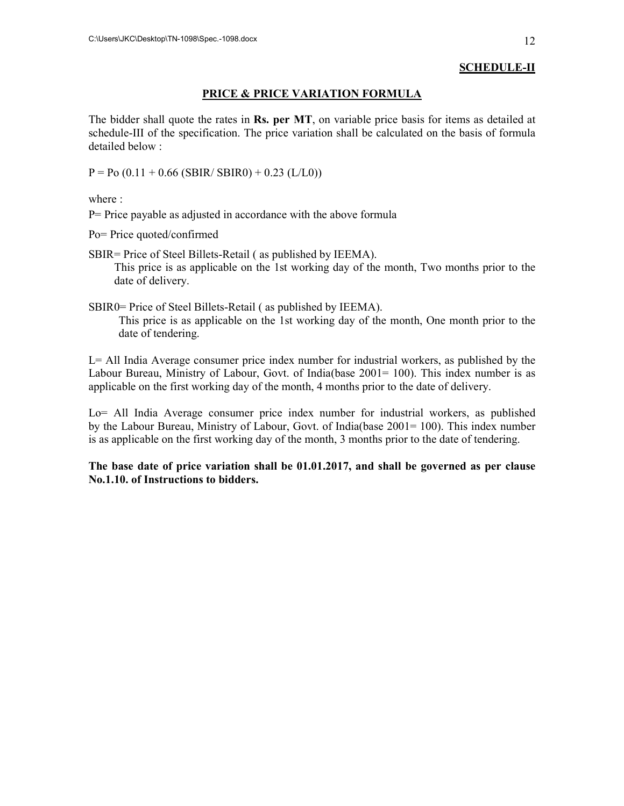## **SCHEDULE-II**

### **PRICE & PRICE VARIATION FORMULA**

The bidder shall quote the rates in **Rs. per MT**, on variable price basis for items as detailed at schedule-III of the specification. The price variation shall be calculated on the basis of formula detailed below :

 $P = Po (0.11 + 0.66 (SBIR/SBIR0) + 0.23 (L/L0))$ 

where :

P= Price payable as adjusted in accordance with the above formula

Po= Price quoted/confirmed

SBIR= Price of Steel Billets-Retail ( as published by IEEMA). This price is as applicable on the 1st working day of the month, Two months prior to the date of delivery.

SBIR0= Price of Steel Billets-Retail ( as published by IEEMA).

This price is as applicable on the 1st working day of the month, One month prior to the date of tendering.

L= All India Average consumer price index number for industrial workers, as published by the Labour Bureau, Ministry of Labour, Govt. of India(base 2001= 100). This index number is as applicable on the first working day of the month, 4 months prior to the date of delivery.

Lo= All India Average consumer price index number for industrial workers, as published by the Labour Bureau, Ministry of Labour, Govt. of India(base 2001= 100). This index number is as applicable on the first working day of the month, 3 months prior to the date of tendering.

**The base date of price variation shall be 01.01.2017, and shall be governed as per clause No.1.10. of Instructions to bidders.**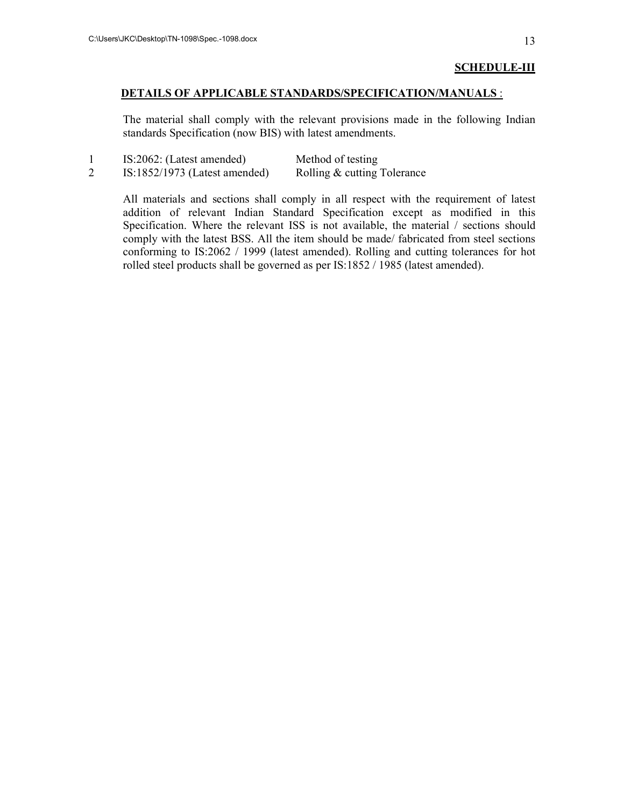#### **SCHEDULE-III**

#### **DETAILS OF APPLICABLE STANDARDS/SPECIFICATION/MANUALS** :

The material shall comply with the relevant provisions made in the following Indian standards Specification (now BIS) with latest amendments.

| IS:2062: (Latest amended)       | Method of testing           |
|---------------------------------|-----------------------------|
| $IS:1852/1973$ (Latest amended) | Rolling & cutting Tolerance |

All materials and sections shall comply in all respect with the requirement of latest addition of relevant Indian Standard Specification except as modified in this Specification. Where the relevant ISS is not available, the material / sections should comply with the latest BSS. All the item should be made/ fabricated from steel sections conforming to IS:2062 / 1999 (latest amended). Rolling and cutting tolerances for hot rolled steel products shall be governed as per IS:1852 / 1985 (latest amended).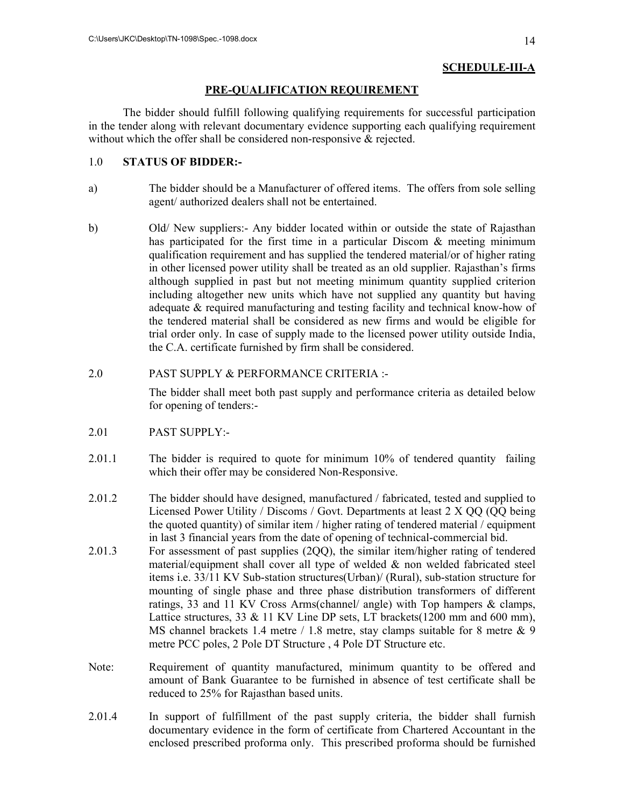## **SCHEDULE-III-A**

#### **PRE-QUALIFICATION REQUIREMENT**

The bidder should fulfill following qualifying requirements for successful participation in the tender along with relevant documentary evidence supporting each qualifying requirement without which the offer shall be considered non-responsive & rejected.

### 1.0 **STATUS OF BIDDER:-**

- a) The bidder should be a Manufacturer of offered items. The offers from sole selling agent/ authorized dealers shall not be entertained.
- b) Old/ New suppliers:- Any bidder located within or outside the state of Rajasthan has participated for the first time in a particular Discom  $\&$  meeting minimum qualification requirement and has supplied the tendered material/or of higher rating in other licensed power utility shall be treated as an old supplier. Rajasthan's firms although supplied in past but not meeting minimum quantity supplied criterion including altogether new units which have not supplied any quantity but having adequate & required manufacturing and testing facility and technical know-how of the tendered material shall be considered as new firms and would be eligible for trial order only. In case of supply made to the licensed power utility outside India, the C.A. certificate furnished by firm shall be considered.

### 2.0 PAST SUPPLY & PERFORMANCE CRITERIA :-

 The bidder shall meet both past supply and performance criteria as detailed below for opening of tenders:-

- 2.01 PAST SUPPLY:-
- 2.01.1 The bidder is required to quote for minimum 10% of tendered quantity failing which their offer may be considered Non-Responsive.
- 2.01.2 The bidder should have designed, manufactured / fabricated, tested and supplied to Licensed Power Utility / Discoms / Govt. Departments at least 2 X QQ (QQ being the quoted quantity) of similar item / higher rating of tendered material / equipment in last 3 financial years from the date of opening of technical-commercial bid.
- 2.01.3 For assessment of past supplies (2QQ), the similar item/higher rating of tendered material/equipment shall cover all type of welded  $\&$  non welded fabricated steel items i.e. 33/11 KV Sub-station structures(Urban)/ (Rural), sub-station structure for mounting of single phase and three phase distribution transformers of different ratings, 33 and 11 KV Cross Arms(channel/ angle) with Top hampers & clamps, Lattice structures, 33  $& 11$  KV Line DP sets, LT brackets(1200 mm and 600 mm), MS channel brackets 1.4 metre / 1.8 metre, stay clamps suitable for 8 metre & 9 metre PCC poles, 2 Pole DT Structure , 4 Pole DT Structure etc.
- Note: Requirement of quantity manufactured, minimum quantity to be offered and amount of Bank Guarantee to be furnished in absence of test certificate shall be reduced to 25% for Rajasthan based units.
- 2.01.4 In support of fulfillment of the past supply criteria, the bidder shall furnish documentary evidence in the form of certificate from Chartered Accountant in the enclosed prescribed proforma only. This prescribed proforma should be furnished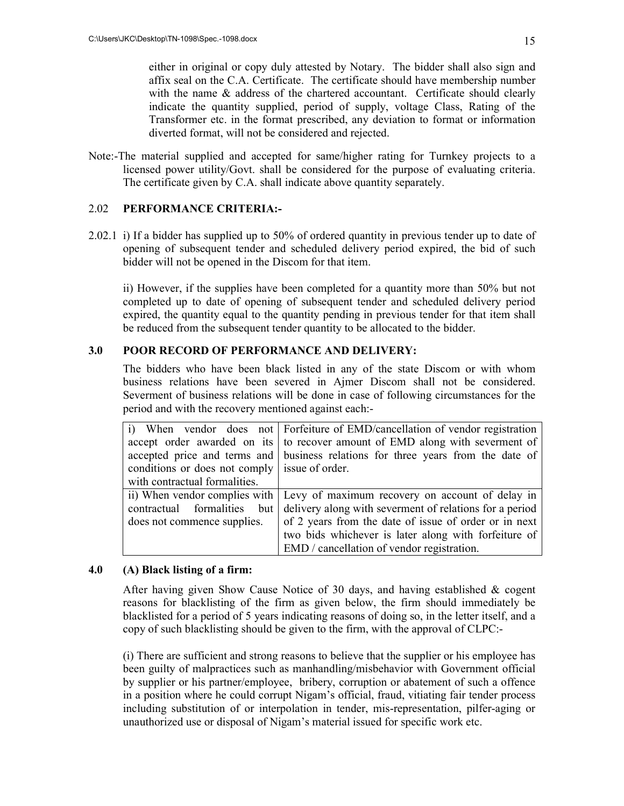either in original or copy duly attested by Notary. The bidder shall also sign and affix seal on the C.A. Certificate. The certificate should have membership number with the name & address of the chartered accountant. Certificate should clearly indicate the quantity supplied, period of supply, voltage Class, Rating of the Transformer etc. in the format prescribed, any deviation to format or information diverted format, will not be considered and rejected.

Note:-The material supplied and accepted for same/higher rating for Turnkey projects to a licensed power utility/Govt. shall be considered for the purpose of evaluating criteria. The certificate given by C.A. shall indicate above quantity separately.

#### 2.02 **PERFORMANCE CRITERIA:-**

2.02.1 i) If a bidder has supplied up to 50% of ordered quantity in previous tender up to date of opening of subsequent tender and scheduled delivery period expired, the bid of such bidder will not be opened in the Discom for that item.

 ii) However, if the supplies have been completed for a quantity more than 50% but not completed up to date of opening of subsequent tender and scheduled delivery period expired, the quantity equal to the quantity pending in previous tender for that item shall be reduced from the subsequent tender quantity to be allocated to the bidder.

### **3.0 POOR RECORD OF PERFORMANCE AND DELIVERY:**

The bidders who have been black listed in any of the state Discom or with whom business relations have been severed in Ajmer Discom shall not be considered. Severment of business relations will be done in case of following circumstances for the period and with the recovery mentioned against each:-

|                                               | i) When vendor does not Forfeiture of EMD/cancellation of vendor registration    |  |  |  |  |  |
|-----------------------------------------------|----------------------------------------------------------------------------------|--|--|--|--|--|
|                                               | accept order awarded on its to recover amount of EMD along with severment of     |  |  |  |  |  |
|                                               | accepted price and terms and business relations for three years from the date of |  |  |  |  |  |
| conditions or does not comply issue of order. |                                                                                  |  |  |  |  |  |
| with contractual formalities.                 |                                                                                  |  |  |  |  |  |
|                                               | ii) When vendor complies with   Levy of maximum recovery on account of delay in  |  |  |  |  |  |
| contractual formalities but                   | delivery along with severment of relations for a period                          |  |  |  |  |  |
| does not commence supplies.                   | of 2 years from the date of issue of order or in next                            |  |  |  |  |  |
|                                               | two bids whichever is later along with forfeiture of                             |  |  |  |  |  |
|                                               | EMD / cancellation of vendor registration.                                       |  |  |  |  |  |

#### **4.0 (A) Black listing of a firm:**

After having given Show Cause Notice of 30 days, and having established & cogent reasons for blacklisting of the firm as given below, the firm should immediately be blacklisted for a period of 5 years indicating reasons of doing so, in the letter itself, and a copy of such blacklisting should be given to the firm, with the approval of CLPC:-

(i) There are sufficient and strong reasons to believe that the supplier or his employee has been guilty of malpractices such as manhandling/misbehavior with Government official by supplier or his partner/employee, bribery, corruption or abatement of such a offence in a position where he could corrupt Nigam's official, fraud, vitiating fair tender process including substitution of or interpolation in tender, mis-representation, pilfer-aging or unauthorized use or disposal of Nigam's material issued for specific work etc.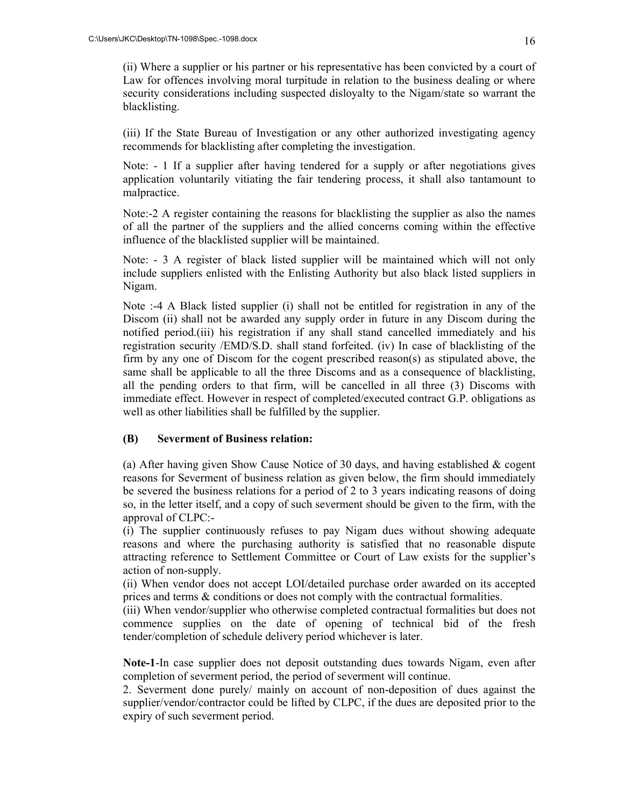(ii) Where a supplier or his partner or his representative has been convicted by a court of Law for offences involving moral turpitude in relation to the business dealing or where security considerations including suspected disloyalty to the Nigam/state so warrant the blacklisting.

(iii) If the State Bureau of Investigation or any other authorized investigating agency recommends for blacklisting after completing the investigation.

Note: - 1 If a supplier after having tendered for a supply or after negotiations gives application voluntarily vitiating the fair tendering process, it shall also tantamount to malpractice.

Note:-2 A register containing the reasons for blacklisting the supplier as also the names of all the partner of the suppliers and the allied concerns coming within the effective influence of the blacklisted supplier will be maintained.

Note: - 3 A register of black listed supplier will be maintained which will not only include suppliers enlisted with the Enlisting Authority but also black listed suppliers in Nigam.

Note :-4 A Black listed supplier (i) shall not be entitled for registration in any of the Discom (ii) shall not be awarded any supply order in future in any Discom during the notified period.(iii) his registration if any shall stand cancelled immediately and his registration security /EMD/S.D. shall stand forfeited. (iv) In case of blacklisting of the firm by any one of Discom for the cogent prescribed reason(s) as stipulated above, the same shall be applicable to all the three Discoms and as a consequence of blacklisting, all the pending orders to that firm, will be cancelled in all three (3) Discoms with immediate effect. However in respect of completed/executed contract G.P. obligations as well as other liabilities shall be fulfilled by the supplier.

#### **(B) Severment of Business relation:**

(a) After having given Show Cause Notice of 30 days, and having established & cogent reasons for Severment of business relation as given below, the firm should immediately be severed the business relations for a period of 2 to 3 years indicating reasons of doing so, in the letter itself, and a copy of such severment should be given to the firm, with the approval of CLPC:-

(i) The supplier continuously refuses to pay Nigam dues without showing adequate reasons and where the purchasing authority is satisfied that no reasonable dispute attracting reference to Settlement Committee or Court of Law exists for the supplier's action of non-supply.

(ii) When vendor does not accept LOI/detailed purchase order awarded on its accepted prices and terms & conditions or does not comply with the contractual formalities.

(iii) When vendor/supplier who otherwise completed contractual formalities but does not commence supplies on the date of opening of technical bid of the fresh tender/completion of schedule delivery period whichever is later.

**Note-1**-In case supplier does not deposit outstanding dues towards Nigam, even after completion of severment period, the period of severment will continue.

2. Severment done purely/ mainly on account of non-deposition of dues against the supplier/vendor/contractor could be lifted by CLPC, if the dues are deposited prior to the expiry of such severment period.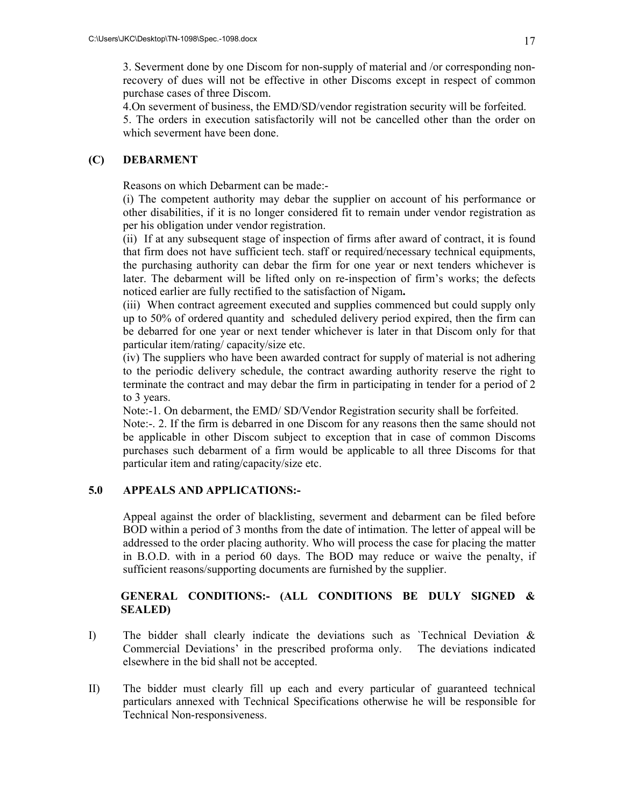3. Severment done by one Discom for non-supply of material and /or corresponding nonrecovery of dues will not be effective in other Discoms except in respect of common purchase cases of three Discom.

4.On severment of business, the EMD/SD/vendor registration security will be forfeited.

5. The orders in execution satisfactorily will not be cancelled other than the order on which severment have been done.

## **(C) DEBARMENT**

Reasons on which Debarment can be made:-

(i) The competent authority may debar the supplier on account of his performance or other disabilities, if it is no longer considered fit to remain under vendor registration as per his obligation under vendor registration.

(ii) If at any subsequent stage of inspection of firms after award of contract, it is found that firm does not have sufficient tech. staff or required/necessary technical equipments, the purchasing authority can debar the firm for one year or next tenders whichever is later. The debarment will be lifted only on re-inspection of firm's works; the defects noticed earlier are fully rectified to the satisfaction of Nigam**.** 

(iii) When contract agreement executed and supplies commenced but could supply only up to 50% of ordered quantity and scheduled delivery period expired, then the firm can be debarred for one year or next tender whichever is later in that Discom only for that particular item/rating/ capacity/size etc.

(iv) The suppliers who have been awarded contract for supply of material is not adhering to the periodic delivery schedule, the contract awarding authority reserve the right to terminate the contract and may debar the firm in participating in tender for a period of 2 to 3 years.

Note:-1. On debarment, the EMD/ SD/Vendor Registration security shall be forfeited.

Note:-. 2. If the firm is debarred in one Discom for any reasons then the same should not be applicable in other Discom subject to exception that in case of common Discoms purchases such debarment of a firm would be applicable to all three Discoms for that particular item and rating/capacity/size etc.

## **5.0 APPEALS AND APPLICATIONS:-**

Appeal against the order of blacklisting, severment and debarment can be filed before BOD within a period of 3 months from the date of intimation. The letter of appeal will be addressed to the order placing authority. Who will process the case for placing the matter in B.O.D. with in a period 60 days. The BOD may reduce or waive the penalty, if sufficient reasons/supporting documents are furnished by the supplier.

## **GENERAL CONDITIONS:- (ALL CONDITIONS BE DULY SIGNED & SEALED)**

- I) The bidder shall clearly indicate the deviations such as `Technical Deviation & Commercial Deviations' in the prescribed proforma only. The deviations indicated elsewhere in the bid shall not be accepted.
- II) The bidder must clearly fill up each and every particular of guaranteed technical particulars annexed with Technical Specifications otherwise he will be responsible for Technical Non-responsiveness.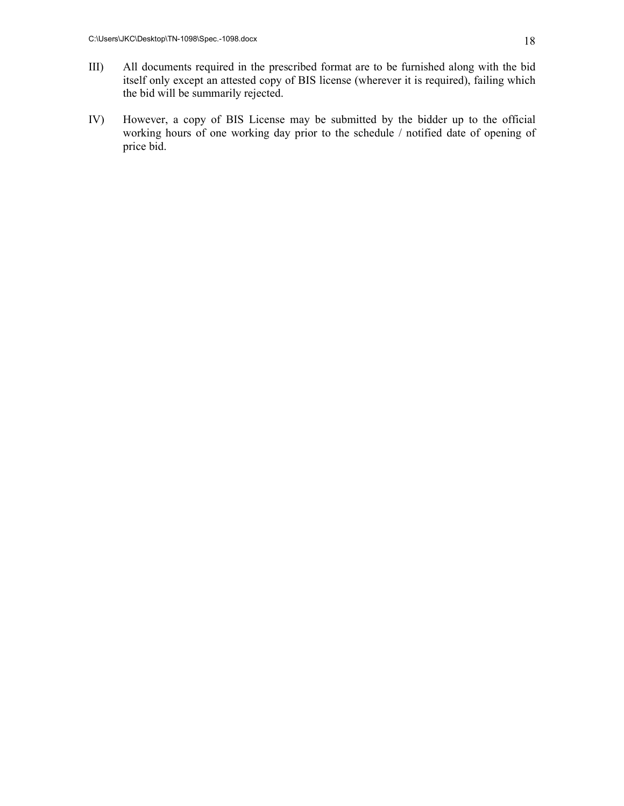- III) All documents required in the prescribed format are to be furnished along with the bid itself only except an attested copy of BIS license (wherever it is required), failing which the bid will be summarily rejected.
- IV) However, a copy of BIS License may be submitted by the bidder up to the official working hours of one working day prior to the schedule / notified date of opening of price bid.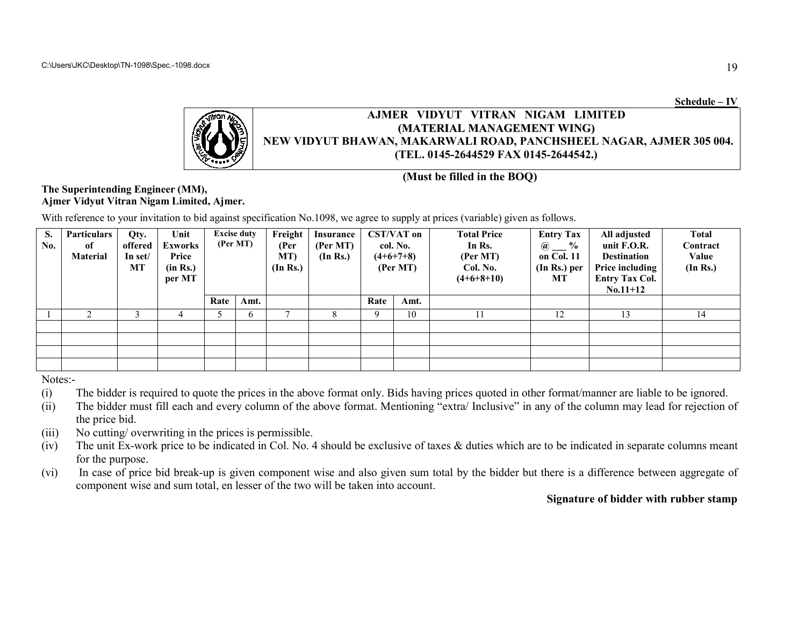**Schedule – IV**



## NEW VIDYUT BHAWAN, MAKARWALI ROAD, PANCHSHEEL NAGAR, AJMER 305 004. **(TEL. 0145-2644529 FAX 0145-2644542.)2644542.)AJMER VIDYUT VITRAN NIGAM LIMITED(MATERIAL MANAGEMENT <sup>W</sup>WING)**

**(Must be filled in the BOQ)**

#### **The Superintending Engineer (MM), Ajmer Vidyut Vitran Nigam Limited, Ajmer.**

With reference to your invitation to bid against specification No.1098, we agree to supply at prices (variable) given as follows.

| S.<br>No. | <b>Particulars</b><br>of<br>Material | Qty.<br>offered<br>In set/<br>МT | Unit<br><b>Exworks</b><br>Price<br>(in Rs.)<br>per MT |      | <b>Excise duty</b><br>(Per MT) | Freight<br>(Per<br>MT)<br>(In Rs.) | Insurance<br>(Per MT)<br>(In Rs.) | <b>CST/VAT</b> on<br>col. No.<br>$(4+6+7+8)$<br>(Per MT) |      | <b>Total Price</b><br>In Rs.<br>(Per MT)<br>Col. No.<br>$(4+6+8+10)$ | <b>Entry Tax</b><br>$\frac{6}{9}$<br>$\cdot$ (a)<br>on Col. 11<br>$(In Rs.)$ per<br>МT | All adjusted<br>unit F.O.R.<br><b>Destination</b><br>Price including<br><b>Entry Tax Col.</b><br>$No.11+12$ | <b>Total</b><br>Contract<br>Value<br>(In Rs.) |
|-----------|--------------------------------------|----------------------------------|-------------------------------------------------------|------|--------------------------------|------------------------------------|-----------------------------------|----------------------------------------------------------|------|----------------------------------------------------------------------|----------------------------------------------------------------------------------------|-------------------------------------------------------------------------------------------------------------|-----------------------------------------------|
|           |                                      |                                  |                                                       | Rate | Amt.                           |                                    |                                   | Rate                                                     | Amt. |                                                                      |                                                                                        |                                                                                                             |                                               |
|           |                                      |                                  |                                                       |      | <sub>0</sub>                   |                                    |                                   | Q                                                        | 10   |                                                                      | 12                                                                                     | 13                                                                                                          | 14                                            |
|           |                                      |                                  |                                                       |      |                                |                                    |                                   |                                                          |      |                                                                      |                                                                                        |                                                                                                             |                                               |
|           |                                      |                                  |                                                       |      |                                |                                    |                                   |                                                          |      |                                                                      |                                                                                        |                                                                                                             |                                               |
|           |                                      |                                  |                                                       |      |                                |                                    |                                   |                                                          |      |                                                                      |                                                                                        |                                                                                                             |                                               |
|           |                                      |                                  |                                                       |      |                                |                                    |                                   |                                                          |      |                                                                      |                                                                                        |                                                                                                             |                                               |

Notes:-

- (i) The bidder is required to quote the prices in the above format only. Bids having prices quoted in other format/manner are liable to be ignored.
- (i) The bidder is required to quote the prices in the above format only. Bids having prices quoted in other format/manner are liable to be ignored.<br>(ii) The bidder must fill each and every column of the above format. Menti the price bid.
- (iii) No cutting/ overwriting in the prices is permissible.
- (iv) The unit Ex-work price to be indicated in Col. No. 4 should be exclusive of taxes & duties which are to be indicated in separate columns for the purpose. bidder must fill each and every column of the above format. Mentioning "extra/ Inclusive" in any of the column<br>price bid.<br>unit Ex-work price to be indicated in Col. No. 4 should be exclusive of taxes & duties which are to to be indicated in separate columns meant
- (vi) In case of price bid break-up is given component wise and also given sum total by the bidder but there is a difference between aggregate of component wise and sum total, en lesser of the two will be taken into account.

### **Signature of bidder with rubber stampwith**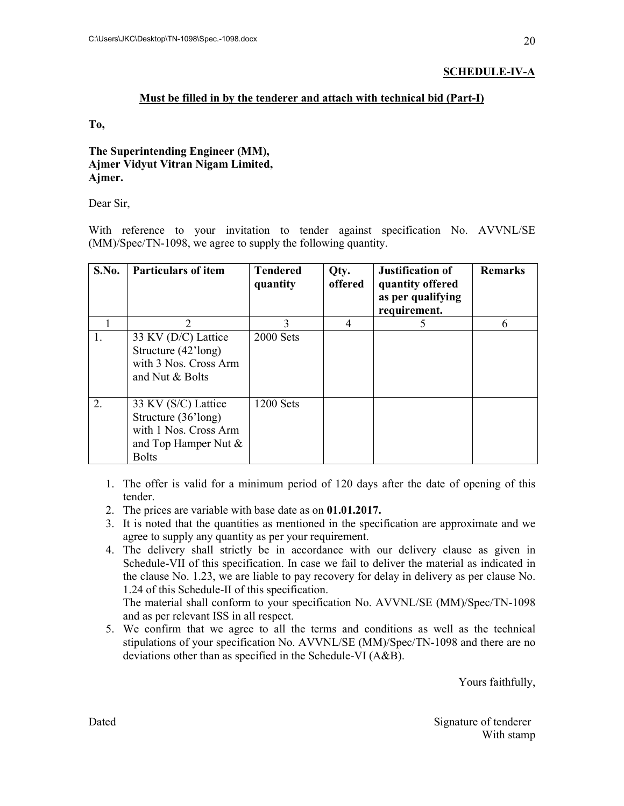## **SCHEDULE-IV-A**

## **Must be filled in by the tenderer and attach with technical bid (Part-I)**

**To,** 

## **The Superintending Engineer (MM), Ajmer Vidyut Vitran Nigam Limited, Ajmer.**

Dear Sir,

With reference to your invitation to tender against specification No. AVVNL/SE (MM)/Spec/TN-1098, we agree to supply the following quantity.

| S.No. | <b>Particulars of item</b>                                                                                     | <b>Tendered</b><br>quantity | Qty.<br>offered | <b>Justification of</b><br>quantity offered<br>as per qualifying<br>requirement. | <b>Remarks</b> |
|-------|----------------------------------------------------------------------------------------------------------------|-----------------------------|-----------------|----------------------------------------------------------------------------------|----------------|
|       | $\overline{2}$                                                                                                 | $\mathbf{3}$                | 4               |                                                                                  |                |
| 1.    | 33 KV (D/C) Lattice<br>Structure (42'long)<br>with 3 Nos. Cross Arm<br>and Nut & Bolts                         | <b>2000 Sets</b>            |                 |                                                                                  |                |
| 2.    | 33 KV (S/C) Lattice<br>Structure (36'long)<br>with 1 Nos. Cross Arm<br>and Top Hamper Nut $\&$<br><b>Bolts</b> | <b>1200 Sets</b>            |                 |                                                                                  |                |

- 1. The offer is valid for a minimum period of 120 days after the date of opening of this tender.
- 2. The prices are variable with base date as on **01.01.2017.**
- 3. It is noted that the quantities as mentioned in the specification are approximate and we agree to supply any quantity as per your requirement.
- 4. The delivery shall strictly be in accordance with our delivery clause as given in Schedule-VII of this specification. In case we fail to deliver the material as indicated in the clause No. 1.23, we are liable to pay recovery for delay in delivery as per clause No. 1.24 of this Schedule-II of this specification.

The material shall conform to your specification No. AVVNL/SE (MM)/Spec/TN-1098 and as per relevant ISS in all respect.

5. We confirm that we agree to all the terms and conditions as well as the technical stipulations of your specification No. AVVNL/SE (MM)/Spec/TN-1098 and there are no deviations other than as specified in the Schedule-VI (A&B).

Yours faithfully,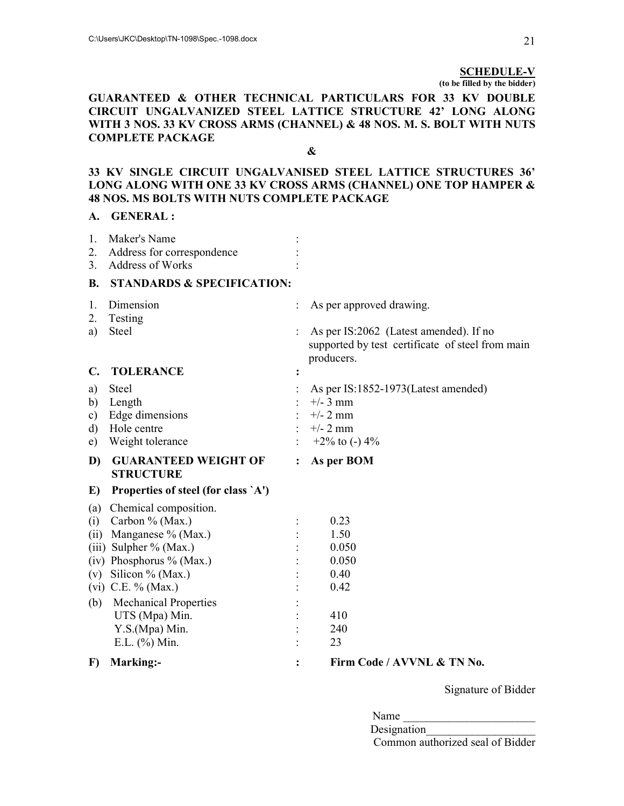#### **SCHEDULE-V**

**(to be filled by the bidder)** 

#### **GUARANTEED & OTHER TECHNICAL PARTICULARS FOR 33 KV DOUBLE CIRCUIT UNGALVANIZED STEEL LATTICE STRUCTURE 42' LONG ALONG WITH 3 NOS. 33 KV CROSS ARMS (CHANNEL) & 48 NOS. M. S. BOLT WITH NUTS COMPLETE PACKAGE**

**&** 

### **33 KV SINGLE CIRCUIT UNGALVANISED STEEL LATTICE STRUCTURES 36' LONG ALONG WITH ONE 33 KV CROSS ARMS (CHANNEL) ONE TOP HAMPER & 48 NOS. MS BOLTS WITH NUTS COMPLETE PACKAGE**

#### **A. GENERAL :**

| 1.            | Maker's Name                                    |                |                                                                                                          |
|---------------|-------------------------------------------------|----------------|----------------------------------------------------------------------------------------------------------|
| 2.            | Address for correspondence                      |                |                                                                                                          |
| 3.            | Address of Works                                |                |                                                                                                          |
| <b>B.</b>     | <b>STANDARDS &amp; SPECIFICATION:</b>           |                |                                                                                                          |
| 1.            | Dimension                                       |                | As per approved drawing.                                                                                 |
| 2.            | Testing                                         |                |                                                                                                          |
| a)            | Steel                                           |                | As per IS:2062 (Latest amended). If no<br>supported by test certificate of steel from main<br>producers. |
| C.            | <b>TOLERANCE</b>                                |                |                                                                                                          |
| a)            | <b>Steel</b>                                    |                | As per IS:1852-1973 (Latest amended)                                                                     |
| b)            | Length                                          |                | $+/- 3$ mm                                                                                               |
| $\mathbf{c})$ | Edge dimensions                                 |                | $+/- 2$ mm                                                                                               |
| d)            | Hole centre                                     |                | $+/- 2$ mm                                                                                               |
| e)            | Weight tolerance                                |                | +2% to (-) $4\%$                                                                                         |
| D)            | <b>GUARANTEED WEIGHT OF</b><br><b>STRUCTURE</b> | $\ddot{\cdot}$ | As per BOM                                                                                               |
| E)            | Properties of steel (for class `A')             |                |                                                                                                          |
| (a)           | Chemical composition.                           |                |                                                                                                          |
| (i)           | Carbon % (Max.)                                 |                | 0.23                                                                                                     |
| (ii)          | Manganese % (Max.)                              |                | 1.50                                                                                                     |
|               | (iii) Sulpher $%$ (Max.)                        |                | 0.050                                                                                                    |
|               | (iv) Phosphorus % (Max.)                        |                | 0.050                                                                                                    |
|               | (v) Silicon % (Max.)                            |                | 0.40                                                                                                     |
|               | (vi) C.E. $%$ (Max.)                            |                | 0.42                                                                                                     |
| (b)           | <b>Mechanical Properties</b>                    |                |                                                                                                          |
|               | UTS (Mpa) Min.                                  |                | 410                                                                                                      |
|               | Y.S.(Mpa) Min.                                  |                | 240                                                                                                      |
|               | E.L. $(\% )$ Min.                               |                | 23                                                                                                       |
| $\bf{F}$      | Marking:-                                       | $\ddot{\cdot}$ | Firm Code / AVVNL & TN No.                                                                               |

Signature of Bidder

| Name |  |
|------|--|
|      |  |

Designation Common authorized seal of Bidder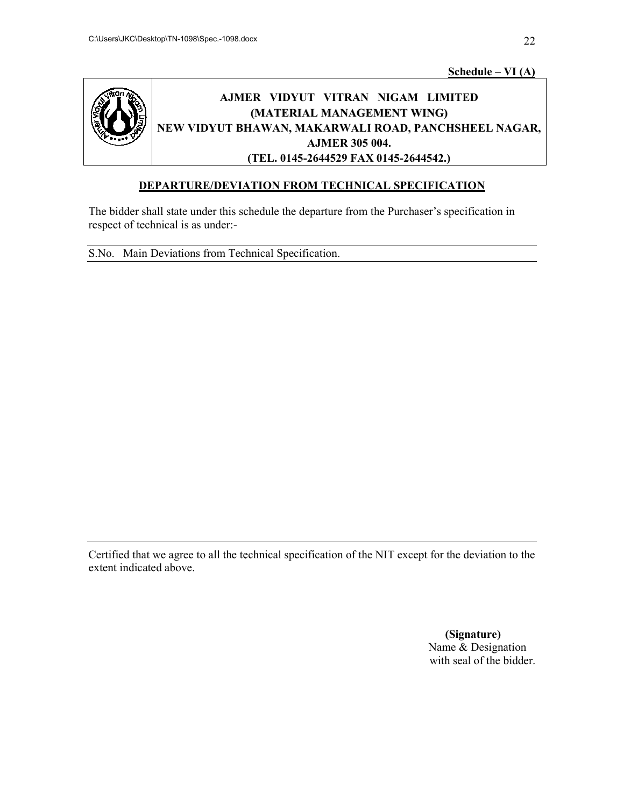**Schedule Schedule – VI (A)**



# **AJMER VIDYUT VITRAN NIGAM LIMITED VIDYUT NIGAM LIMITED NEW VIDYUT BHAWAN, M MAKARWALI ROAD, PANCHSHEEL NAGAR, (MATERIAL MANAGEMENT WING) AJMER 305 004. (TEL. 0145-2644529 FAX 0145-2644542.)** AJMER VIDYUT VITRAN NIGAM LIMITED<br>
(MATERIAL MANAGEMENT WING)<br>
NEW VIDYUT BHAWAN, MAKARWALI ROAD, PANCHSHEEL NAGAR,<br>
AJMER 305 004.<br>
(TEL. 0145-2644529 FAX 0145-2644542.)<br>
DEPARTURE/DEVIATION FROM TECHNICAL SPECIFICATION

## **DEPARTURE/DEVIATION FROM TECHNICAL SPECIFICATION**

The bidder shall state under this schedule the departure from the Purchaser's specification in respect of technical is as under: this schedule the departure from the Purchaser's specification in<br>err-<br>Technical Specification. bidder shall state under this schedule the departure from the Purchaser's specification in<br>ect of technical is as under:-<br>. Main Deviations from Technical Specification.<br>in specification of the NIT except for the deviation

S.No. Main Deviations from Technical Specification.

Certified that we agree to all the technical specification of the NIT except for the deviation to the extent indicated above.

> **(Signature) (Signature)**Name & Designation Name & Designation<br>with seal of the bidder.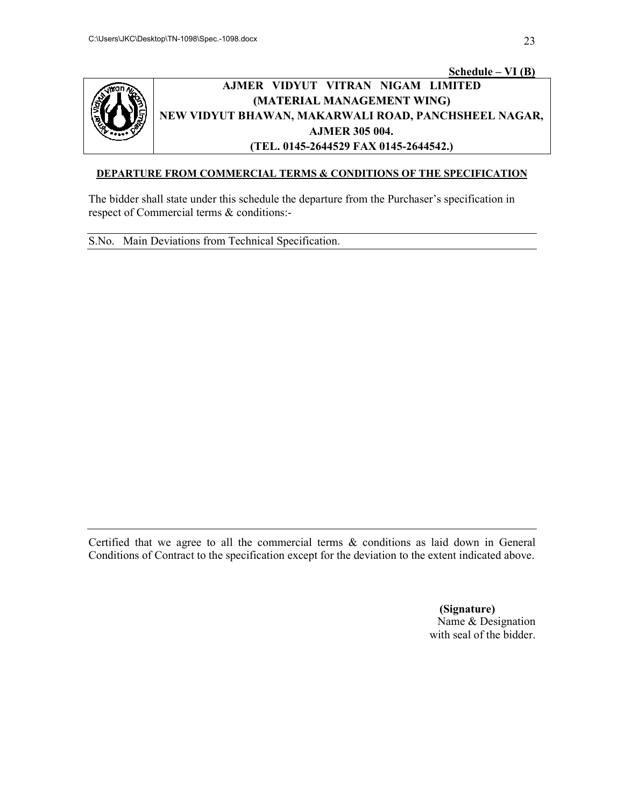

## **AJMER VIDYUT VITRAN NIGAM LIMITED** AJMER VIDYUT VITRAN NIGAM LIMITED<br>(MATERIAL MANAGEMENT WING)<br>NEW VIDYUT BHAWAN, MAKARWALI ROAD, PANCHSHEEL NAGAR, **Schedule Schedule – VI (B) AJMER (MATERIAL MANAGEMENT WING) AJMER 305 004. (TEL. 0145-2644529 FAX 0145-2644542.)**

#### **DEPARTURE FROM COMMERCIAL TERMS & CONDITIONS OF THE SPECIFICATION**

The bidder shall state under this schedule the departure from the Purchaser's specification in respect of Commercial terms  $\&$  conditions:respect of Commercial terms & conditions:

S.No. Main Deviations from Technical Specification.

Certified that we agree to all the commercial terms & conditions as laid down in General Conditions of Contract to the specification except for the deviation to the extent indicated above. The bidder shall state under this schedule the departure from the Purchaser's specification in<br>respect of Commercial terms & conditions:-<br>S.No. Main Deviations from Technical Specification.<br>Conditions of Contract to the sp

> **(Signature) (Signature)**Name & Designation Name & Designation<br>with seal of the bidder.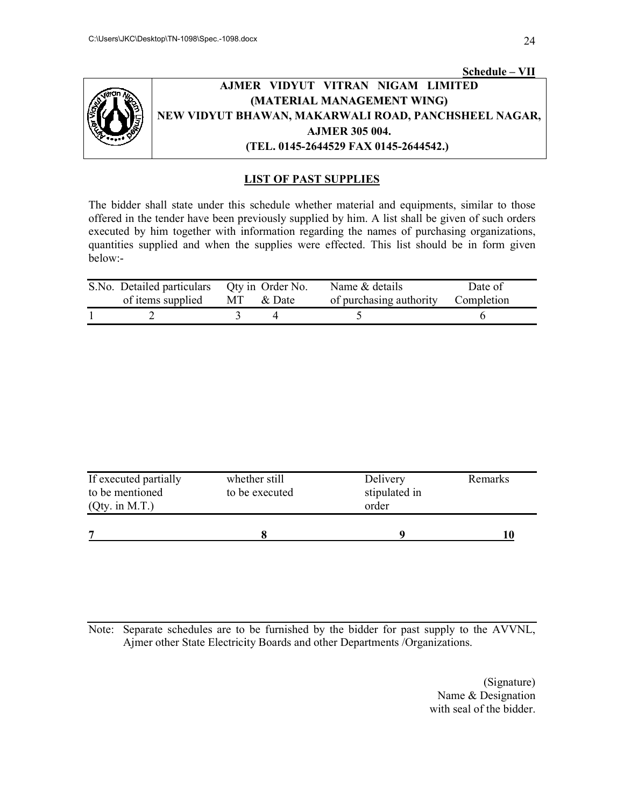

## **AJMER VIDYUT VITRAN NIGAM LIMITED VIDYUT VITRAN NIGAM LIMITED NEW VIDYUT BHAWAN, M MAKARWALI ROAD, PANCHSHEEL NAGAR, SHEEL NAGAR, Schedule Schedule – VII (MATERIAL MANAGEMENT WING) AJMER 305 004. (TEL. 0145-2644529 FAX 0145-2644542.)**

## **LIST OF PAST SUPPLIES SUPPLIES**

The bidder shall state under this schedule whether material and equipments, similar to those offered in the tender have been previously supplied by him. A list shall be given of such orders executed by him together with information regarding the names of purchasing organizations, quantities supplied and when the supplies were effected. This list should be in form given below: offered in the tender have been previously supplied by him. A list shall be given of such orders executed by him together with information regarding the names of purchasing organizations, quantities supplied and when the s The bidder shall state under this schedule whether material and equipments, similar to those<br>offered in the tender have been previously supplied by him. A list shall be given of such orders<br>executed by him together with in

| S. No. Detailed particulars Qty in Order No.<br>of items supplied | MT & Date | Name & details<br>of purchasing authority | Date of<br>Completion |
|-------------------------------------------------------------------|-----------|-------------------------------------------|-----------------------|
|                                                                   |           |                                           |                       |

| If executed partially<br>whether still<br>to be mentioned<br>to be executed<br>$(Qty.$ in M.T.) |  | Delivery<br>stipulated in<br>order | Remarks |
|-------------------------------------------------------------------------------------------------|--|------------------------------------|---------|
| 7                                                                                               |  |                                    |         |

Note: Separate schedules are to be furnished by the bidder for past supply to the AVVNL,<br>Ajmer other State Electricity Boards and other Departments /Organizations.<br>(Signature)<br>Name & Designation Ajmer other State Electricity Boards and other Departments /Organizations.

Name & Designation<br>with seal of the bidder.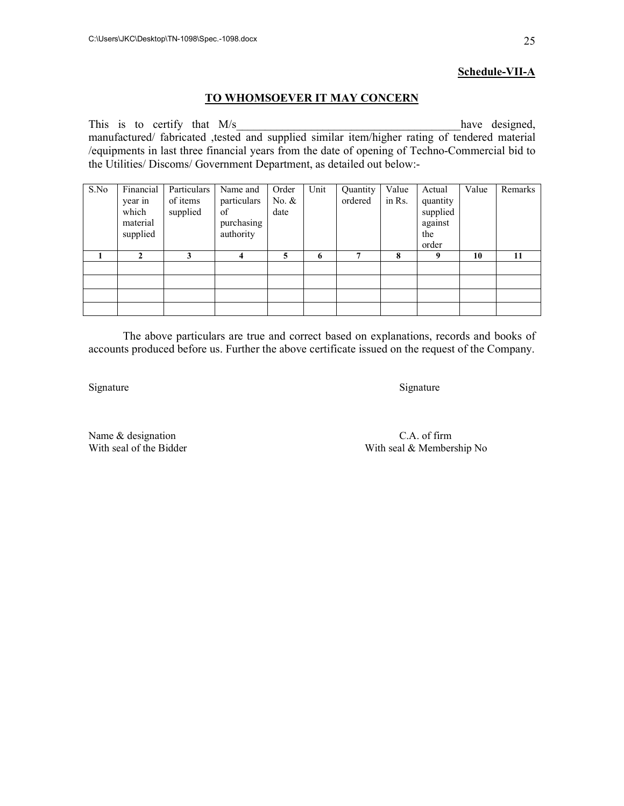#### **Schedule-VII-A**

#### **TO WHOMSOEVER IT MAY CONCERN**

This is to certify that  $M/s$  have designed, manufactured/ fabricated ,tested and supplied similar item/higher rating of tendered material /equipments in last three financial years from the date of opening of Techno-Commercial bid to the Utilities/ Discoms/ Government Department, as detailed out below:-

| S.No | Financial<br>year in<br>which<br>material<br>supplied | Particulars<br>of items<br>supplied | Name and<br>particulars<br>of<br>purchasing<br>authority | Order<br>No. $&$<br>date | Unit | Quantity<br>ordered | Value<br>in Rs. | Actual<br>quantity<br>supplied<br>against<br>the<br>order | Value | Remarks |
|------|-------------------------------------------------------|-------------------------------------|----------------------------------------------------------|--------------------------|------|---------------------|-----------------|-----------------------------------------------------------|-------|---------|
|      |                                                       | 3                                   | 4                                                        | 5                        | 6    |                     | 8               | 9                                                         | 10    | 11      |
|      |                                                       |                                     |                                                          |                          |      |                     |                 |                                                           |       |         |
|      |                                                       |                                     |                                                          |                          |      |                     |                 |                                                           |       |         |
|      |                                                       |                                     |                                                          |                          |      |                     |                 |                                                           |       |         |
|      |                                                       |                                     |                                                          |                          |      |                     |                 |                                                           |       |         |

The above particulars are true and correct based on explanations, records and books of accounts produced before us. Further the above certificate issued on the request of the Company.

Signature Signature Signature Signature Signature Signature Signature Signature Signature Signature Signature Signature Signature Signature Signature Signature Signature Signature Signature Signature Signature Signature Si

Name & designation C.A. of firm With seal of the Bidder With seal & Member

With seal & Membership No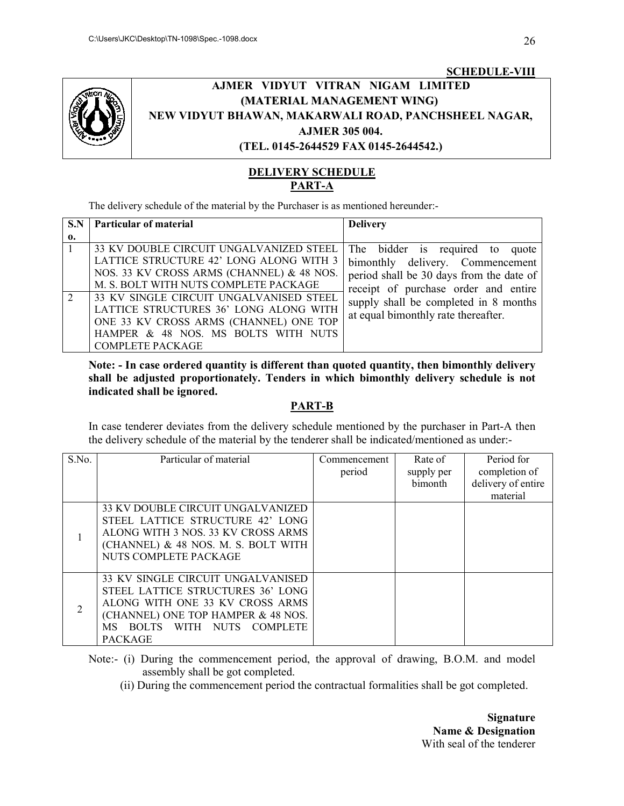

## **AJMER VIDYUT VITRAN NIGAM LIMITED (M MATERIAL MANAGEMENT WING)** AJMER VIDYUT VITRAN NIGAM LIMITED<br>(MATERIAL MANAGEMENT WING)<br>NEW VIDYUT BHAWAN, MAKARWALI ROAD, PANCHSHEEL NAGAR, **(TEL. 0145 0145-2644529 FAX 0145-2644542.) SCHEDULE SCHEDULE-VIII AJMER 305 004.**

## **DELIVERY SCHEDULE PART-A**

The delivery schedule of the material by the Purchaser is as mentioned hereunder:-

|              | <b>Particular of material</b>             | <b>Delivery</b>                          |
|--------------|-------------------------------------------|------------------------------------------|
| $\mathbf{0}$ |                                           |                                          |
|              | 33 KV DOUBLE CIRCUIT UNGALVANIZED STEEL   | The bidder is required to quote          |
|              | LATTICE STRUCTURE 42' LONG ALONG WITH 3   | bimonthly delivery. Commencement         |
|              | NOS. 33 KV CROSS ARMS (CHANNEL) & 48 NOS. | period shall be 30 days from the date of |
|              | M. S. BOLT WITH NUTS COMPLETE PACKAGE     | receipt of purchase order and entire     |
|              | 33 KV SINGLE CIRCUIT UNGALVANISED STEEL   | supply shall be completed in 8 months    |
|              | LATTICE STRUCTURES 36' LONG ALONG WITH    | at equal bimonthly rate thereafter.      |
|              | ONE 33 KV CROSS ARMS (CHANNEL) ONE TOP    |                                          |
|              | HAMPER & 48 NOS. MS BOLTS WITH NUTS       |                                          |
|              | <b>COMPLETE PACKAGE</b>                   |                                          |

**Note: - In case ordered quantity is different than quoted quantity, then bimonthly delivery shall be adjusted proportionately. Tenders in which bimonthly delivery schedule is not indicated shall be ignored.**  Note: - In case ordered quantity is different than quoted quantity, then bimonthly delivery shall be adjusted proportionately. Tenders in which bimonthly delivery schedule is not indicated shall be ignored.<br>**PART-B** 

In case tenderer deviates from the delivery schedule mentioned by the purchaser in Part-A then the delivery schedule of the material by the tenderer shall be indicated/mentioned as under: the delivery schedule of the material by the tenderer shall be indicated/mentioned as under:-

| S.No.          | Particular of material                                                                                                                                                                           | Commencement<br>period | Rate of<br>supply per<br>bimonth | Period for<br>completion of<br>delivery of entire<br>material |
|----------------|--------------------------------------------------------------------------------------------------------------------------------------------------------------------------------------------------|------------------------|----------------------------------|---------------------------------------------------------------|
|                | 33 KV DOUBLE CIRCUIT UNGALVANIZED<br>STEEL LATTICE STRUCTURE 42' LONG<br>ALONG WITH 3 NOS. 33 KV CROSS ARMS<br>(CHANNEL) & 48 NOS. M. S. BOLT WITH<br>NUTS COMPLETE PACKAGE                      |                        |                                  |                                                               |
| $\overline{2}$ | 33 KV SINGLE CIRCUIT UNGALVANISED<br>STEEL LATTICE STRUCTURES 36' LONG<br>ALONG WITH ONE 33 KV CROSS ARMS<br>(CHANNEL) ONE TOP HAMPER & 48 NOS.<br>MS BOLTS WITH NUTS COMPLETE<br><b>PACKAGE</b> |                        |                                  |                                                               |

Note:- (i) During the commencement period, the approval of drawing, B.O.M. and model assembly shall be got completed. Note:- (i) During the commencement period, the approval of drawing, B.O.M. and model<br>assembly shall be got completed.<br>(ii) During the commencement period the contractual formalities shall be got completed.

**Name & Designation Name & Designation**With seal of the tenderer With seal of the tenderer**Signature**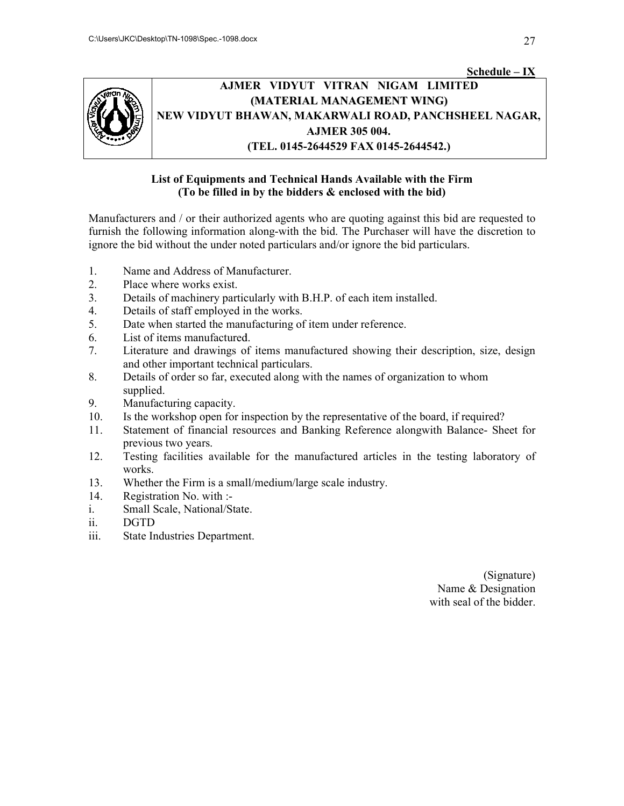

## **AJMER VIDYUT VITRAN NIGAM LIMITED VIDYUT NIGAM LIMITED** AJMER VIDYUT VITRAN NIGAM LIMITED<br>(MATERIAL MANAGEMENT WING)<br>NEW VIDYUT BHAWAN, MAKARWALI ROAD, PANCHSHEEL NAGAR, **(MATERIAL MANAGEMENT WING) AJMER 305 004. (TEL. 0145-2644529 FAX 0145-2644542.) Schedule – IX**

## List of Equipments and Technical Hands Available with the Firm **(To be filled in by the bidders & enclosed with the bid)**

Manufacturers and / or their authorized agents who are quoting against this bid are requested to Manufacturers and / or their authorized agents who are quoting against this bid are requested to furnish the following information along-with the bid. The Purchaser will have the discretion to ignore the bid without the under noted particulars and/or ignore the bid particulars. Manufacturers and / or their authorized agents who are quoting against this bid are requested to<br>furnish the following information along-with the bid. The Purchaser will have the discretion to<br>ignore the bid without the un

- 1. Name and Address of Manufacturer.
- 2. Place where works exist.
- 3. Details of machinery particularly with B.H.P. of each item installed.
- 4. Details of staff employed in the works.
- 5. Date when started the manufacturing of item under reference.
- 6. List of items manufactured.
- 7. Literature and drawings of items manufactured showing their description, size, design and other important technical particulars.
- 8. Details of order so far, executed along with the names of organization to whom supplied.
- 9. Manufacturing capacity.
- 10. Is the workshop open for inspection by the representative of the board, if required?
- 11. Statement of financial resources and Banking Reference alongwith Balance previous two years. bid without the under noted particulars and/or ignore the bid particulars.<br>
ame and Address of Manufacturer.<br>
lace where works exist.<br>
etails of machinery particularly with B.H.P. of each item installed.<br>
etails of staff e
- 12. Testing facilities available for the manufactured articles in the testing laboratory of works. for the manufactured articles in the testing laboratory of<br>medium/large scale industry.<br>(Signature)
- 13. Whether the Firm is a small/medium/large scale industry.
- 14. Registration No. with :-
- i. Small Scale, National/State.
- ii. DGTD
- iii. State Industries Department.

Name & Name & Designation with seal of the bidder. with seal of the bidder.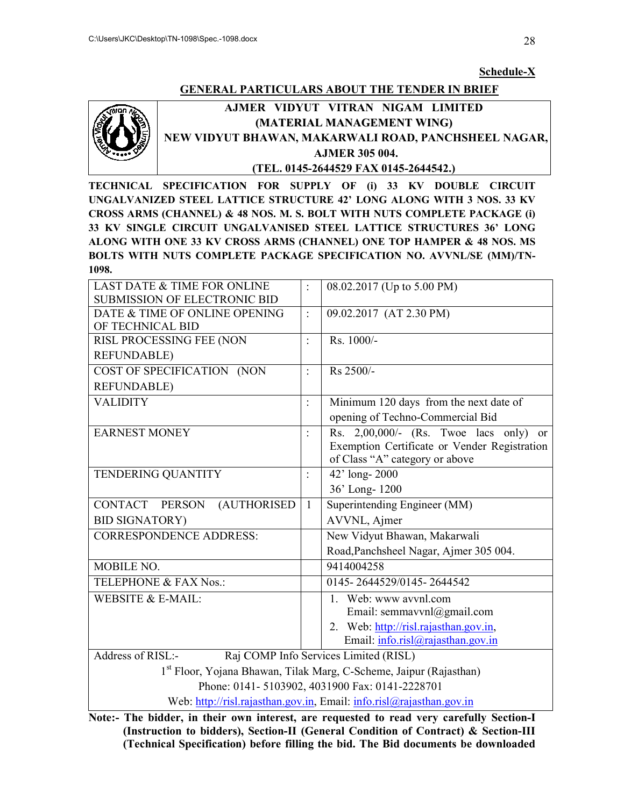#### **Schedule-X**

## **GENERAL PARTICULARS ABOUT THE TENDER IN BRIEF**



# **AJMER VIDYUT VITRAN NIGAM LIMITED <u>GENERAL PARTICULARS ABOUT THE TENDER IN BRIEF</u><br>AJMER VIDYUT VITRAN NIGAM LIMITED<br>(MATERIAL MANAGEMENT WING)<br>NEW VIDYUT BHAWAN, MAKARWALI ROAD, PANCHSHEEL NAGAR, AJMER VITRAN (MATERIAL MANAGEMENT WING) AJMER 305 004. (TEL. 0145-2644529 FAX 0145-2644542.)**

|                                                                                                                                                                                | C:\Users\JKC\Desktop\TN-1098\Spec.-1098.docx                                   |                | 28                                                                                                                                           |  |  |  |  |  |
|--------------------------------------------------------------------------------------------------------------------------------------------------------------------------------|--------------------------------------------------------------------------------|----------------|----------------------------------------------------------------------------------------------------------------------------------------------|--|--|--|--|--|
|                                                                                                                                                                                |                                                                                |                |                                                                                                                                              |  |  |  |  |  |
|                                                                                                                                                                                |                                                                                |                | Schedule-X                                                                                                                                   |  |  |  |  |  |
|                                                                                                                                                                                |                                                                                |                | <b>GENERAL PARTICULARS ABOUT THE TENDER IN BRIEF</b>                                                                                         |  |  |  |  |  |
|                                                                                                                                                                                | AJMER VIDYUT VITRAN NIGAM LIMITED                                              |                |                                                                                                                                              |  |  |  |  |  |
|                                                                                                                                                                                | (MATERIAL MANAGEMENT WING)                                                     |                |                                                                                                                                              |  |  |  |  |  |
|                                                                                                                                                                                |                                                                                |                | NEW VIDYUT BHAWAN, MAKARWALI ROAD, PANCHSHEEL NAGAR,                                                                                         |  |  |  |  |  |
|                                                                                                                                                                                |                                                                                |                | <b>AJMER 305 004.</b>                                                                                                                        |  |  |  |  |  |
|                                                                                                                                                                                |                                                                                |                | (TEL. 0145-2644529 FAX 0145-2644542.)                                                                                                        |  |  |  |  |  |
|                                                                                                                                                                                |                                                                                |                | TECHNICAL SPECIFICATION FOR SUPPLY OF (i) 33 KV DOUBLE<br><b>CIRCUIT</b>                                                                     |  |  |  |  |  |
|                                                                                                                                                                                |                                                                                |                | UNGALVANIZED STEEL LATTICE STRUCTURE 42' LONG ALONG WITH 3 NOS. 33 KV                                                                        |  |  |  |  |  |
|                                                                                                                                                                                |                                                                                |                | CROSS ARMS (CHANNEL) & 48 NOS. M. S. BOLT WITH NUTS COMPLETE PACKAGE (i)                                                                     |  |  |  |  |  |
|                                                                                                                                                                                |                                                                                |                | 33 KV SINGLE CIRCUIT UNGALVANISED STEEL LATTICE STRUCTURES 36' LONG<br>ALONG WITH ONE 33 KV CROSS ARMS (CHANNEL) ONE TOP HAMPER & 48 NOS. MS |  |  |  |  |  |
|                                                                                                                                                                                |                                                                                |                | BOLTS WITH NUTS COMPLETE PACKAGE SPECIFICATION NO. AVVNL/SE (MM)/TN-                                                                         |  |  |  |  |  |
| 1098.                                                                                                                                                                          |                                                                                |                |                                                                                                                                              |  |  |  |  |  |
|                                                                                                                                                                                | <b>LAST DATE &amp; TIME FOR ONLINE</b>                                         |                | 08.02.2017 (Up to 5.00 PM)                                                                                                                   |  |  |  |  |  |
|                                                                                                                                                                                | <b>SUBMISSION OF ELECTRONIC BID</b>                                            |                |                                                                                                                                              |  |  |  |  |  |
|                                                                                                                                                                                | DATE & TIME OF ONLINE OPENING                                                  | $\ddot{\cdot}$ | 09.02.2017 (AT 2.30 PM)                                                                                                                      |  |  |  |  |  |
| OF TECHNICAL BID                                                                                                                                                               |                                                                                |                |                                                                                                                                              |  |  |  |  |  |
|                                                                                                                                                                                | RISL PROCESSING FEE (NON                                                       | $\ddot{\cdot}$ | Rs. 1000/-                                                                                                                                   |  |  |  |  |  |
| <b>REFUNDABLE)</b>                                                                                                                                                             |                                                                                |                |                                                                                                                                              |  |  |  |  |  |
|                                                                                                                                                                                | COST OF SPECIFICATION (NON                                                     | $\ddot{\cdot}$ | Rs 2500/-                                                                                                                                    |  |  |  |  |  |
| <b>REFUNDABLE)</b>                                                                                                                                                             |                                                                                |                |                                                                                                                                              |  |  |  |  |  |
| <b>VALIDITY</b>                                                                                                                                                                |                                                                                | ÷.             | Minimum 120 days from the next date of                                                                                                       |  |  |  |  |  |
|                                                                                                                                                                                |                                                                                |                | opening of Techno-Commercial Bid                                                                                                             |  |  |  |  |  |
| <b>EARNEST MONEY</b>                                                                                                                                                           |                                                                                | $\ddot{\cdot}$ | Rs. $2,00,000/$ - (Rs. Twoe lacs only) or                                                                                                    |  |  |  |  |  |
|                                                                                                                                                                                |                                                                                |                | Exemption Certificate or Vender Registration                                                                                                 |  |  |  |  |  |
|                                                                                                                                                                                |                                                                                |                | of Class "A" category or above                                                                                                               |  |  |  |  |  |
| TENDERING QUANTITY                                                                                                                                                             |                                                                                | $\ddot{\cdot}$ | 42' long-2000                                                                                                                                |  |  |  |  |  |
|                                                                                                                                                                                |                                                                                |                | 36' Long-1200                                                                                                                                |  |  |  |  |  |
| CONTACT PERSON                                                                                                                                                                 | (AUTHORISED                                                                    | $\mathbf{1}$   | Superintending Engineer (MM)                                                                                                                 |  |  |  |  |  |
| <b>BID SIGNATORY)</b>                                                                                                                                                          |                                                                                |                | AVVNL, Ajmer                                                                                                                                 |  |  |  |  |  |
|                                                                                                                                                                                | <b>CORRESPONDENCE ADDRESS:</b>                                                 |                | New Vidyut Bhawan, Makarwali                                                                                                                 |  |  |  |  |  |
|                                                                                                                                                                                |                                                                                |                | Road, Panchsheel Nagar, Ajmer 305 004.                                                                                                       |  |  |  |  |  |
| MOBILE NO.                                                                                                                                                                     |                                                                                |                | 9414004258                                                                                                                                   |  |  |  |  |  |
|                                                                                                                                                                                | TELEPHONE & FAX Nos.:                                                          |                | 0145-2644529/0145-2644542                                                                                                                    |  |  |  |  |  |
| WEBSITE & E-MAIL:                                                                                                                                                              |                                                                                |                | Web: www avvnl.com<br>$1 \quad$                                                                                                              |  |  |  |  |  |
|                                                                                                                                                                                |                                                                                |                | Email: semmavvnl $@g$ mail.com                                                                                                               |  |  |  |  |  |
|                                                                                                                                                                                |                                                                                |                | 2. Web: http://risl.rajasthan.gov.in,                                                                                                        |  |  |  |  |  |
| Address of RISL:-                                                                                                                                                              |                                                                                |                | Email: info.risl@rajasthan.gov.in                                                                                                            |  |  |  |  |  |
|                                                                                                                                                                                |                                                                                |                | Raj COMP Info Services Limited (RISL)                                                                                                        |  |  |  |  |  |
|                                                                                                                                                                                | 1 <sup>st</sup> Floor, Yojana Bhawan, Tilak Marg, C-Scheme, Jaipur (Rajasthan) |                |                                                                                                                                              |  |  |  |  |  |
|                                                                                                                                                                                | Phone: 0141-5103902, 4031900 Fax: 0141-2228701                                 |                |                                                                                                                                              |  |  |  |  |  |
| Web: http://risl.rajasthan.gov.in, Email: info.risl@rajasthan.gov.in                                                                                                           |                                                                                |                |                                                                                                                                              |  |  |  |  |  |
| Note:- The bidder, in their own interest, are requested to read very carefully Section-I<br>(Instruction to bidders), Section-II (General Condition of Contract) & Section-III |                                                                                |                |                                                                                                                                              |  |  |  |  |  |
|                                                                                                                                                                                |                                                                                |                | (Technical Specification) before filling the bid. The Bid documents be downloaded                                                            |  |  |  |  |  |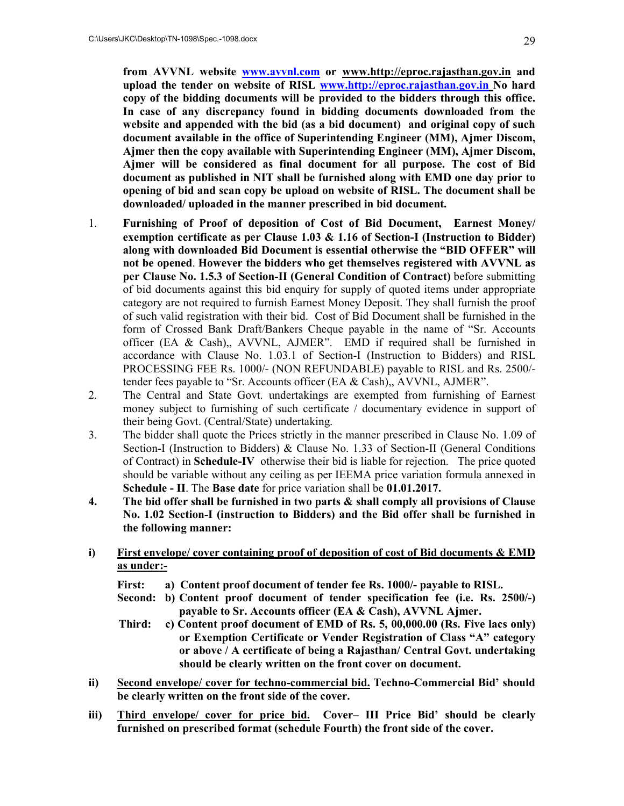**from AVVNL website www.avvnl.com or www.http://eproc.rajasthan.gov.in and upload the tender on website of RISL www.http://eproc.rajasthan.gov.in No hard copy of the bidding documents will be provided to the bidders through this office. In case of any discrepancy found in bidding documents downloaded from the website and appended with the bid (as a bid document) and original copy of such document available in the office of Superintending Engineer (MM), Ajmer Discom, Ajmer then the copy available with Superintending Engineer (MM), Ajmer Discom, Ajmer will be considered as final document for all purpose. The cost of Bid document as published in NIT shall be furnished along with EMD one day prior to opening of bid and scan copy be upload on website of RISL. The document shall be downloaded/ uploaded in the manner prescribed in bid document.** 

- 1. **Furnishing of Proof of deposition of Cost of Bid Document, Earnest Money/ exemption certificate as per Clause 1.03 & 1.16 of Section-I (Instruction to Bidder) along with downloaded Bid Document is essential otherwise the "BID OFFER" will not be opened**. **However the bidders who get themselves registered with AVVNL as per Clause No. 1.5.3 of Section-II (General Condition of Contract)** before submitting of bid documents against this bid enquiry for supply of quoted items under appropriate category are not required to furnish Earnest Money Deposit. They shall furnish the proof of such valid registration with their bid. Cost of Bid Document shall be furnished in the form of Crossed Bank Draft/Bankers Cheque payable in the name of "Sr. Accounts officer (EA & Cash),, AVVNL, AJMER". EMD if required shall be furnished in accordance with Clause No. 1.03.1 of Section-I (Instruction to Bidders) and RISL PROCESSING FEE Rs. 1000/- (NON REFUNDABLE) payable to RISL and Rs. 2500/ tender fees payable to "Sr. Accounts officer (EA & Cash),, AVVNL, AJMER".
- 2. The Central and State Govt. undertakings are exempted from furnishing of Earnest money subject to furnishing of such certificate / documentary evidence in support of their being Govt. (Central/State) undertaking.
- 3. The bidder shall quote the Prices strictly in the manner prescribed in Clause No. 1.09 of Section-I (Instruction to Bidders) & Clause No. 1.33 of Section-II (General Conditions of Contract) in **Schedule-IV** otherwise their bid is liable for rejection. The price quoted should be variable without any ceiling as per IEEMA price variation formula annexed in **Schedule - II**. The **Base date** for price variation shall be **01.01.2017.**
- **4. The bid offer shall be furnished in two parts & shall comply all provisions of Clause No. 1.02 Section-I (instruction to Bidders) and the Bid offer shall be furnished in the following manner:**
- **i) First envelope/ cover containing proof of deposition of cost of Bid documents & EMD as under:-**
	- **First: a) Content proof document of tender fee Rs. 1000/- payable to RISL.**
	- **Second: b) Content proof document of tender specification fee (i.e. Rs. 2500/-) payable to Sr. Accounts officer (EA & Cash), AVVNL Ajmer.**
	- **Third: c) Content proof document of EMD of Rs. 5, 00,000.00 (Rs. Five lacs only) or Exemption Certificate or Vender Registration of Class "A" category or above / A certificate of being a Rajasthan/ Central Govt. undertaking should be clearly written on the front cover on document.**
- **ii) Second envelope/ cover for techno-commercial bid. Techno-Commercial Bid' should be clearly written on the front side of the cover.**
- **iii) Third envelope/ cover for price bid. Cover– III Price Bid' should be clearly furnished on prescribed format (schedule Fourth) the front side of the cover.**